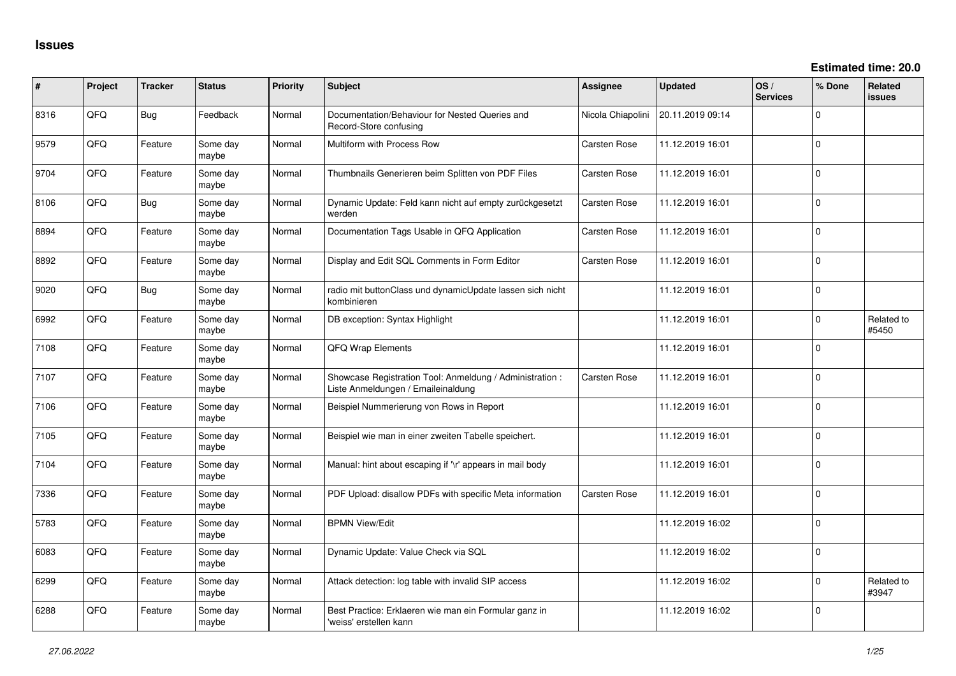| ∦    | Project | <b>Tracker</b> | <b>Status</b>     | Priority | <b>Subject</b>                                                                                 | Assignee            | <b>Updated</b>   | OS/<br><b>Services</b> | % Done      | Related<br><b>issues</b> |
|------|---------|----------------|-------------------|----------|------------------------------------------------------------------------------------------------|---------------------|------------------|------------------------|-------------|--------------------------|
| 8316 | QFQ     | <b>Bug</b>     | Feedback          | Normal   | Documentation/Behaviour for Nested Queries and<br>Record-Store confusing                       | Nicola Chiapolini   | 20.11.2019 09:14 |                        | 0           |                          |
| 9579 | QFQ     | Feature        | Some day<br>maybe | Normal   | Multiform with Process Row                                                                     | Carsten Rose        | 11.12.2019 16:01 |                        | 0           |                          |
| 9704 | QFQ     | Feature        | Some day<br>maybe | Normal   | Thumbnails Generieren beim Splitten von PDF Files                                              | Carsten Rose        | 11.12.2019 16:01 |                        | 0           |                          |
| 8106 | QFQ     | <b>Bug</b>     | Some day<br>maybe | Normal   | Dynamic Update: Feld kann nicht auf empty zurückgesetzt<br>werden                              | <b>Carsten Rose</b> | 11.12.2019 16:01 |                        | 0           |                          |
| 8894 | QFQ     | Feature        | Some day<br>maybe | Normal   | Documentation Tags Usable in QFQ Application                                                   | Carsten Rose        | 11.12.2019 16:01 |                        | 0           |                          |
| 8892 | QFQ     | Feature        | Some day<br>maybe | Normal   | Display and Edit SQL Comments in Form Editor                                                   | Carsten Rose        | 11.12.2019 16:01 |                        | $\mathbf 0$ |                          |
| 9020 | QFQ     | Bug            | Some day<br>maybe | Normal   | radio mit buttonClass und dynamicUpdate lassen sich nicht<br>kombinieren                       |                     | 11.12.2019 16:01 |                        | 0           |                          |
| 6992 | QFQ     | Feature        | Some day<br>maybe | Normal   | DB exception: Syntax Highlight                                                                 |                     | 11.12.2019 16:01 |                        | $\mathbf 0$ | Related to<br>#5450      |
| 7108 | QFQ     | Feature        | Some day<br>maybe | Normal   | QFQ Wrap Elements                                                                              |                     | 11.12.2019 16:01 |                        | 0           |                          |
| 7107 | QFQ     | Feature        | Some day<br>maybe | Normal   | Showcase Registration Tool: Anmeldung / Administration :<br>Liste Anmeldungen / Emaileinaldung | Carsten Rose        | 11.12.2019 16:01 |                        | 0           |                          |
| 7106 | QFQ     | Feature        | Some day<br>maybe | Normal   | Beispiel Nummerierung von Rows in Report                                                       |                     | 11.12.2019 16:01 |                        | 0           |                          |
| 7105 | QFQ     | Feature        | Some day<br>maybe | Normal   | Beispiel wie man in einer zweiten Tabelle speichert.                                           |                     | 11.12.2019 16:01 |                        | 0           |                          |
| 7104 | QFQ     | Feature        | Some day<br>maybe | Normal   | Manual: hint about escaping if '\r' appears in mail body                                       |                     | 11.12.2019 16:01 |                        | 0           |                          |
| 7336 | QFQ     | Feature        | Some day<br>maybe | Normal   | PDF Upload: disallow PDFs with specific Meta information                                       | <b>Carsten Rose</b> | 11.12.2019 16:01 |                        | 0           |                          |
| 5783 | QFQ     | Feature        | Some day<br>maybe | Normal   | <b>BPMN View/Edit</b>                                                                          |                     | 11.12.2019 16:02 |                        | $\mathbf 0$ |                          |
| 6083 | QFQ     | Feature        | Some day<br>maybe | Normal   | Dynamic Update: Value Check via SQL                                                            |                     | 11.12.2019 16:02 |                        | 0           |                          |
| 6299 | QFQ     | Feature        | Some day<br>maybe | Normal   | Attack detection: log table with invalid SIP access                                            |                     | 11.12.2019 16:02 |                        | 0           | Related to<br>#3947      |
| 6288 | QFQ     | Feature        | Some day<br>maybe | Normal   | Best Practice: Erklaeren wie man ein Formular ganz in<br>'weiss' erstellen kann                |                     | 11.12.2019 16:02 |                        | $\Omega$    |                          |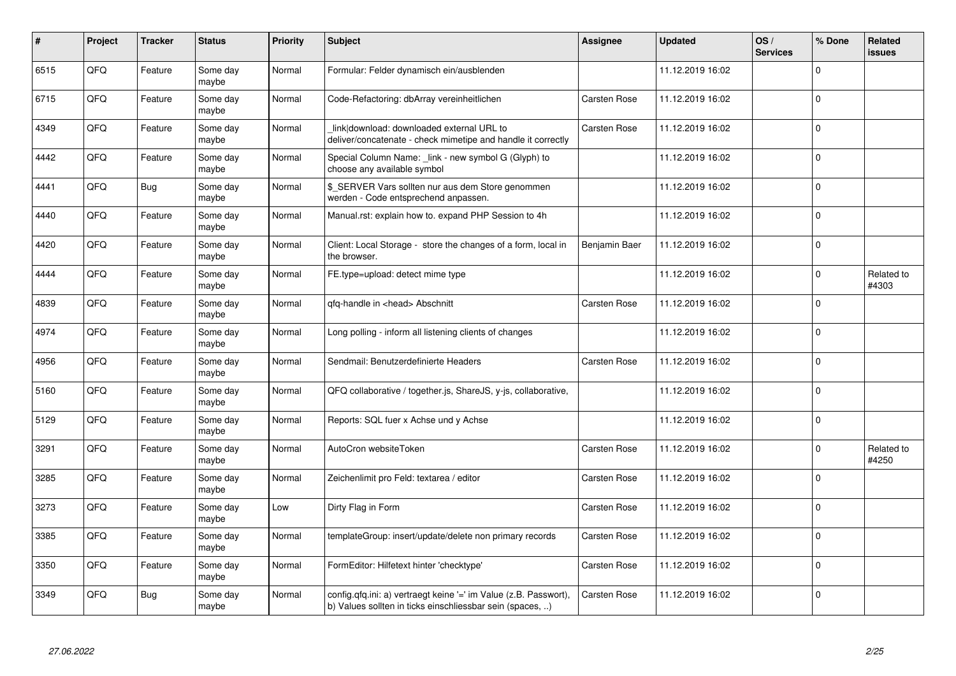| #    | Project | <b>Tracker</b> | <b>Status</b>     | <b>Priority</b> | <b>Subject</b>                                                                                                                | <b>Assignee</b>     | <b>Updated</b>   | OS/<br><b>Services</b> | % Done      | Related<br>issues   |
|------|---------|----------------|-------------------|-----------------|-------------------------------------------------------------------------------------------------------------------------------|---------------------|------------------|------------------------|-------------|---------------------|
| 6515 | QFQ     | Feature        | Some day<br>maybe | Normal          | Formular: Felder dynamisch ein/ausblenden                                                                                     |                     | 11.12.2019 16:02 |                        | $\Omega$    |                     |
| 6715 | QFQ     | Feature        | Some day<br>maybe | Normal          | Code-Refactoring: dbArray vereinheitlichen                                                                                    | Carsten Rose        | 11.12.2019 16:02 |                        | $\mathbf 0$ |                     |
| 4349 | QFQ     | Feature        | Some day<br>maybe | Normal          | link download: downloaded external URL to<br>deliver/concatenate - check mimetipe and handle it correctly                     | <b>Carsten Rose</b> | 11.12.2019 16:02 |                        | $\mathbf 0$ |                     |
| 4442 | QFQ     | Feature        | Some day<br>maybe | Normal          | Special Column Name: _link - new symbol G (Glyph) to<br>choose any available symbol                                           |                     | 11.12.2019 16:02 |                        | $\Omega$    |                     |
| 4441 | QFQ     | <b>Bug</b>     | Some day<br>maybe | Normal          | \$_SERVER Vars sollten nur aus dem Store genommen<br>werden - Code entsprechend anpassen.                                     |                     | 11.12.2019 16:02 |                        | $\Omega$    |                     |
| 4440 | QFQ     | Feature        | Some day<br>maybe | Normal          | Manual.rst: explain how to. expand PHP Session to 4h                                                                          |                     | 11.12.2019 16:02 |                        | $\mathbf 0$ |                     |
| 4420 | QFQ     | Feature        | Some day<br>maybe | Normal          | Client: Local Storage - store the changes of a form, local in<br>the browser.                                                 | Benjamin Baer       | 11.12.2019 16:02 |                        | $\Omega$    |                     |
| 4444 | QFQ     | Feature        | Some day<br>maybe | Normal          | FE.type=upload: detect mime type                                                                                              |                     | 11.12.2019 16:02 |                        | $\Omega$    | Related to<br>#4303 |
| 4839 | QFQ     | Feature        | Some day<br>maybe | Normal          | qfq-handle in <head> Abschnitt</head>                                                                                         | <b>Carsten Rose</b> | 11.12.2019 16:02 |                        | $\mathbf 0$ |                     |
| 4974 | QFQ     | Feature        | Some day<br>maybe | Normal          | Long polling - inform all listening clients of changes                                                                        |                     | 11.12.2019 16:02 |                        | $\mathbf 0$ |                     |
| 4956 | QFQ     | Feature        | Some day<br>maybe | Normal          | Sendmail: Benutzerdefinierte Headers                                                                                          | Carsten Rose        | 11.12.2019 16:02 |                        | $\Omega$    |                     |
| 5160 | QFQ     | Feature        | Some day<br>maybe | Normal          | QFQ collaborative / together.js, ShareJS, y-js, collaborative,                                                                |                     | 11.12.2019 16:02 |                        | $\mathbf 0$ |                     |
| 5129 | QFQ     | Feature        | Some day<br>maybe | Normal          | Reports: SQL fuer x Achse und y Achse                                                                                         |                     | 11.12.2019 16:02 |                        | $\mathbf 0$ |                     |
| 3291 | QFQ     | Feature        | Some day<br>maybe | Normal          | AutoCron websiteToken                                                                                                         | Carsten Rose        | 11.12.2019 16:02 |                        | $\Omega$    | Related to<br>#4250 |
| 3285 | QFQ     | Feature        | Some day<br>maybe | Normal          | Zeichenlimit pro Feld: textarea / editor                                                                                      | Carsten Rose        | 11.12.2019 16:02 |                        | $\Omega$    |                     |
| 3273 | QFQ     | Feature        | Some day<br>maybe | Low             | Dirty Flag in Form                                                                                                            | <b>Carsten Rose</b> | 11.12.2019 16:02 |                        | $\Omega$    |                     |
| 3385 | QFQ     | Feature        | Some day<br>maybe | Normal          | templateGroup: insert/update/delete non primary records                                                                       | Carsten Rose        | 11.12.2019 16:02 |                        | $\mathbf 0$ |                     |
| 3350 | QFQ     | Feature        | Some day<br>maybe | Normal          | FormEditor: Hilfetext hinter 'checktype'                                                                                      | Carsten Rose        | 11.12.2019 16:02 |                        | $\Omega$    |                     |
| 3349 | QFQ     | <b>Bug</b>     | Some day<br>maybe | Normal          | config.qfq.ini: a) vertraegt keine '=' im Value (z.B. Passwort),<br>b) Values sollten in ticks einschliessbar sein (spaces, ) | Carsten Rose        | 11.12.2019 16:02 |                        | $\mathbf 0$ |                     |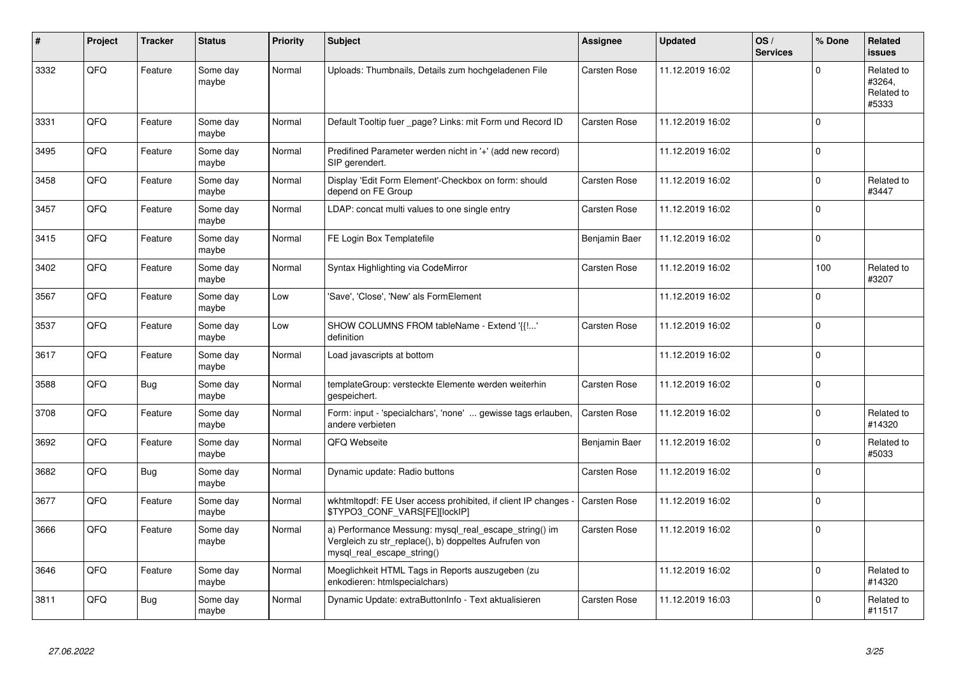| #    | Project | <b>Tracker</b> | <b>Status</b>     | <b>Priority</b> | <b>Subject</b>                                                                                                                               | Assignee            | <b>Updated</b>   | OS/<br><b>Services</b> | % Done         | Related<br><b>issues</b>                    |
|------|---------|----------------|-------------------|-----------------|----------------------------------------------------------------------------------------------------------------------------------------------|---------------------|------------------|------------------------|----------------|---------------------------------------------|
| 3332 | QFQ     | Feature        | Some day<br>maybe | Normal          | Uploads: Thumbnails, Details zum hochgeladenen File                                                                                          | Carsten Rose        | 11.12.2019 16:02 |                        | $\mathbf 0$    | Related to<br>#3264,<br>Related to<br>#5333 |
| 3331 | QFQ     | Feature        | Some day<br>maybe | Normal          | Default Tooltip fuer page? Links: mit Form und Record ID                                                                                     | <b>Carsten Rose</b> | 11.12.2019 16:02 |                        | $\Omega$       |                                             |
| 3495 | QFQ     | Feature        | Some day<br>maybe | Normal          | Predifined Parameter werden nicht in '+' (add new record)<br>SIP gerendert.                                                                  |                     | 11.12.2019 16:02 |                        | $\Omega$       |                                             |
| 3458 | QFQ     | Feature        | Some day<br>maybe | Normal          | Display 'Edit Form Element'-Checkbox on form: should<br>depend on FE Group                                                                   | Carsten Rose        | 11.12.2019 16:02 |                        | $\Omega$       | Related to<br>#3447                         |
| 3457 | QFQ     | Feature        | Some day<br>maybe | Normal          | LDAP: concat multi values to one single entry                                                                                                | Carsten Rose        | 11.12.2019 16:02 |                        | $\overline{0}$ |                                             |
| 3415 | QFQ     | Feature        | Some day<br>maybe | Normal          | FE Login Box Templatefile                                                                                                                    | Benjamin Baer       | 11.12.2019 16:02 |                        | $\mathbf 0$    |                                             |
| 3402 | QFQ     | Feature        | Some day<br>maybe | Normal          | Syntax Highlighting via CodeMirror                                                                                                           | Carsten Rose        | 11.12.2019 16:02 |                        | 100            | Related to<br>#3207                         |
| 3567 | QFQ     | Feature        | Some day<br>maybe | Low             | 'Save', 'Close', 'New' als FormElement                                                                                                       |                     | 11.12.2019 16:02 |                        | $\mathbf 0$    |                                             |
| 3537 | QFQ     | Feature        | Some day<br>maybe | Low             | SHOW COLUMNS FROM tableName - Extend '{{!'<br>definition                                                                                     | <b>Carsten Rose</b> | 11.12.2019 16:02 |                        | $\Omega$       |                                             |
| 3617 | QFQ     | Feature        | Some day<br>maybe | Normal          | Load javascripts at bottom                                                                                                                   |                     | 11.12.2019 16:02 |                        | $\Omega$       |                                             |
| 3588 | QFQ     | <b>Bug</b>     | Some day<br>maybe | Normal          | templateGroup: versteckte Elemente werden weiterhin<br>gespeichert.                                                                          | Carsten Rose        | 11.12.2019 16:02 |                        | $\Omega$       |                                             |
| 3708 | QFQ     | Feature        | Some day<br>maybe | Normal          | Form: input - 'specialchars', 'none'  gewisse tags erlauben,<br>andere verbieten                                                             | <b>Carsten Rose</b> | 11.12.2019 16:02 |                        | 0              | Related to<br>#14320                        |
| 3692 | QFQ     | Feature        | Some day<br>maybe | Normal          | QFQ Webseite                                                                                                                                 | Benjamin Baer       | 11.12.2019 16:02 |                        | $\mathbf 0$    | Related to<br>#5033                         |
| 3682 | QFQ     | <b>Bug</b>     | Some day<br>maybe | Normal          | Dynamic update: Radio buttons                                                                                                                | Carsten Rose        | 11.12.2019 16:02 |                        | $\mathbf 0$    |                                             |
| 3677 | QFQ     | Feature        | Some day<br>maybe | Normal          | wkhtmitopdf: FE User access prohibited, if client IP changes<br>\$TYPO3_CONF_VARS[FE][lockIP]                                                | Carsten Rose        | 11.12.2019 16:02 |                        | 0              |                                             |
| 3666 | QFQ     | Feature        | Some day<br>maybe | Normal          | a) Performance Messung: mysql_real_escape_string() im<br>Vergleich zu str_replace(), b) doppeltes Aufrufen von<br>mysql_real_escape_string() | Carsten Rose        | 11.12.2019 16:02 |                        | $\Omega$       |                                             |
| 3646 | QFQ     | Feature        | Some day<br>maybe | Normal          | Moeglichkeit HTML Tags in Reports auszugeben (zu<br>enkodieren: htmlspecialchars)                                                            |                     | 11.12.2019 16:02 |                        | 0              | Related to<br>#14320                        |
| 3811 | QFQ     | <b>Bug</b>     | Some day<br>maybe | Normal          | Dynamic Update: extraButtonInfo - Text aktualisieren                                                                                         | Carsten Rose        | 11.12.2019 16:03 |                        | $\mathbf 0$    | Related to<br>#11517                        |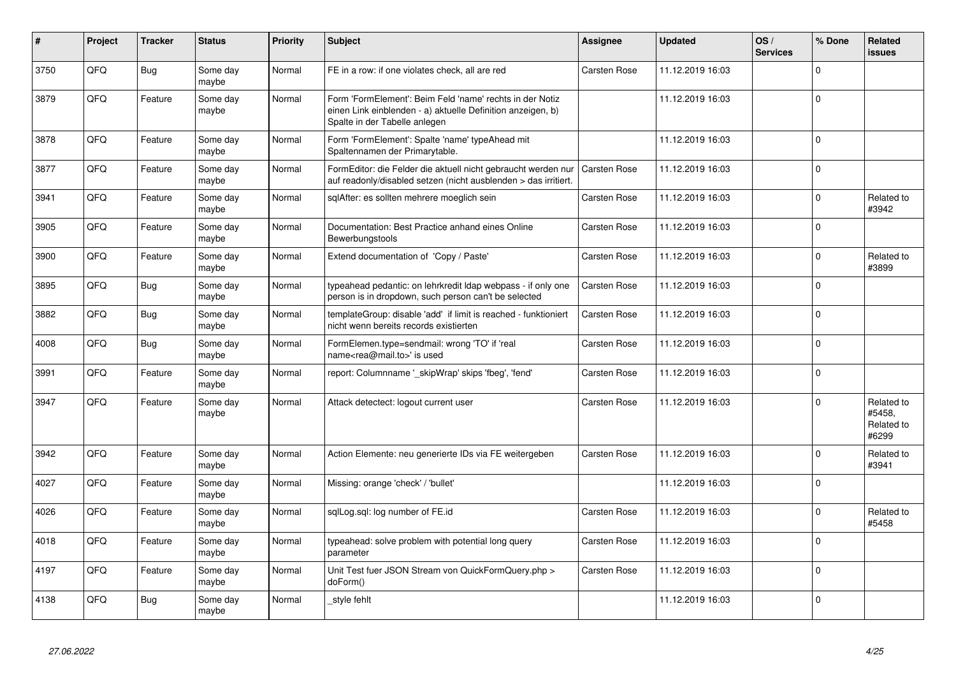| #    | Project | <b>Tracker</b> | <b>Status</b>     | <b>Priority</b> | <b>Subject</b>                                                                                                                                           | <b>Assignee</b>     | <b>Updated</b>   | OS/<br><b>Services</b> | % Done         | Related<br>issues                           |
|------|---------|----------------|-------------------|-----------------|----------------------------------------------------------------------------------------------------------------------------------------------------------|---------------------|------------------|------------------------|----------------|---------------------------------------------|
| 3750 | QFQ     | <b>Bug</b>     | Some day<br>maybe | Normal          | FE in a row: if one violates check, all are red                                                                                                          | Carsten Rose        | 11.12.2019 16:03 |                        | $\mathbf 0$    |                                             |
| 3879 | QFQ     | Feature        | Some day<br>maybe | Normal          | Form 'FormElement': Beim Feld 'name' rechts in der Notiz<br>einen Link einblenden - a) aktuelle Definition anzeigen, b)<br>Spalte in der Tabelle anlegen |                     | 11.12.2019 16:03 |                        | $\Omega$       |                                             |
| 3878 | QFQ     | Feature        | Some day<br>maybe | Normal          | Form 'FormElement': Spalte 'name' typeAhead mit<br>Spaltennamen der Primarytable.                                                                        |                     | 11.12.2019 16:03 |                        | $\Omega$       |                                             |
| 3877 | QFQ     | Feature        | Some day<br>maybe | Normal          | FormEditor: die Felder die aktuell nicht gebraucht werden nur<br>auf readonly/disabled setzen (nicht ausblenden > das irritiert.                         | Carsten Rose        | 11.12.2019 16:03 |                        | $\mathbf 0$    |                                             |
| 3941 | QFQ     | Feature        | Some day<br>maybe | Normal          | sqlAfter: es sollten mehrere moeglich sein                                                                                                               | Carsten Rose        | 11.12.2019 16:03 |                        | $\mathbf 0$    | Related to<br>#3942                         |
| 3905 | QFQ     | Feature        | Some day<br>maybe | Normal          | Documentation: Best Practice anhand eines Online<br>Bewerbungstools                                                                                      | Carsten Rose        | 11.12.2019 16:03 |                        | $\mathbf 0$    |                                             |
| 3900 | QFQ     | Feature        | Some day<br>maybe | Normal          | Extend documentation of 'Copy / Paste'                                                                                                                   | <b>Carsten Rose</b> | 11.12.2019 16:03 |                        | $\overline{0}$ | Related to<br>#3899                         |
| 3895 | QFQ     | <b>Bug</b>     | Some day<br>maybe | Normal          | typeahead pedantic: on lehrkredit Idap webpass - if only one<br>person is in dropdown, such person can't be selected                                     | <b>Carsten Rose</b> | 11.12.2019 16:03 |                        | $\mathbf 0$    |                                             |
| 3882 | QFQ     | <b>Bug</b>     | Some day<br>maybe | Normal          | templateGroup: disable 'add' if limit is reached - funktioniert<br>nicht wenn bereits records existierten                                                | <b>Carsten Rose</b> | 11.12.2019 16:03 |                        | $\Omega$       |                                             |
| 4008 | QFQ     | <b>Bug</b>     | Some day<br>maybe | Normal          | FormElemen.type=sendmail: wrong 'TO' if 'real<br>name <rea@mail.to>' is used</rea@mail.to>                                                               | <b>Carsten Rose</b> | 11.12.2019 16:03 |                        | $\mathbf 0$    |                                             |
| 3991 | QFQ     | Feature        | Some day<br>maybe | Normal          | report: Columnname ' skipWrap' skips 'fbeg', 'fend'                                                                                                      | <b>Carsten Rose</b> | 11.12.2019 16:03 |                        | 0              |                                             |
| 3947 | QFQ     | Feature        | Some day<br>maybe | Normal          | Attack detectect: logout current user                                                                                                                    | <b>Carsten Rose</b> | 11.12.2019 16:03 |                        | $\Omega$       | Related to<br>#5458,<br>Related to<br>#6299 |
| 3942 | QFQ     | Feature        | Some day<br>maybe | Normal          | Action Elemente: neu generierte IDs via FE weitergeben                                                                                                   | Carsten Rose        | 11.12.2019 16:03 |                        | $\Omega$       | Related to<br>#3941                         |
| 4027 | QFQ     | Feature        | Some day<br>maybe | Normal          | Missing: orange 'check' / 'bullet'                                                                                                                       |                     | 11.12.2019 16:03 |                        | $\mathbf 0$    |                                             |
| 4026 | QFQ     | Feature        | Some day<br>maybe | Normal          | sglLog.sgl: log number of FE.id                                                                                                                          | <b>Carsten Rose</b> | 11.12.2019 16:03 |                        | $\Omega$       | Related to<br>#5458                         |
| 4018 | QFQ     | Feature        | Some day<br>maybe | Normal          | typeahead: solve problem with potential long query<br>parameter                                                                                          | Carsten Rose        | 11.12.2019 16:03 |                        | $\Omega$       |                                             |
| 4197 | QFQ     | Feature        | Some day<br>maybe | Normal          | Unit Test fuer JSON Stream von QuickFormQuery.php ><br>doForm()                                                                                          | Carsten Rose        | 11.12.2019 16:03 |                        | $\Omega$       |                                             |
| 4138 | QFQ     | <b>Bug</b>     | Some day<br>maybe | Normal          | _style fehlt                                                                                                                                             |                     | 11.12.2019 16:03 |                        | $\Omega$       |                                             |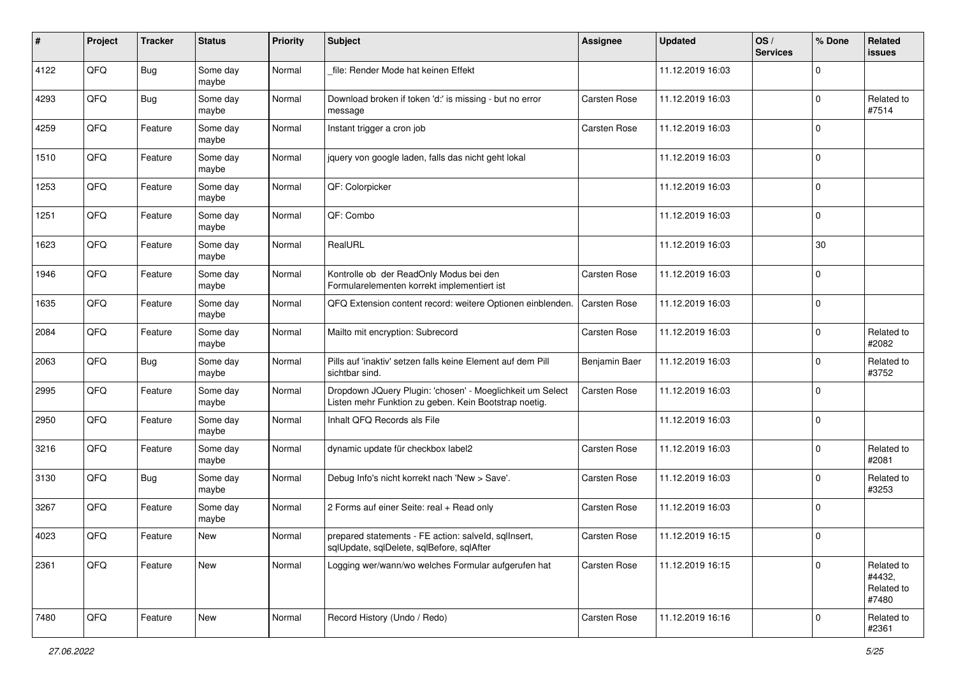| #    | Project | <b>Tracker</b> | <b>Status</b>     | <b>Priority</b> | <b>Subject</b>                                                                                                     | <b>Assignee</b>     | <b>Updated</b>   | OS/<br><b>Services</b> | % Done      | Related<br>issues                           |
|------|---------|----------------|-------------------|-----------------|--------------------------------------------------------------------------------------------------------------------|---------------------|------------------|------------------------|-------------|---------------------------------------------|
| 4122 | QFQ     | <b>Bug</b>     | Some day<br>maybe | Normal          | file: Render Mode hat keinen Effekt                                                                                |                     | 11.12.2019 16:03 |                        | 0           |                                             |
| 4293 | QFQ     | <b>Bug</b>     | Some day<br>maybe | Normal          | Download broken if token 'd:' is missing - but no error<br>message                                                 | <b>Carsten Rose</b> | 11.12.2019 16:03 |                        | $\mathbf 0$ | Related to<br>#7514                         |
| 4259 | QFQ     | Feature        | Some day<br>maybe | Normal          | Instant trigger a cron job                                                                                         | Carsten Rose        | 11.12.2019 16:03 |                        | 0           |                                             |
| 1510 | QFQ     | Feature        | Some day<br>maybe | Normal          | jquery von google laden, falls das nicht geht lokal                                                                |                     | 11.12.2019 16:03 |                        | 0           |                                             |
| 1253 | QFQ     | Feature        | Some day<br>maybe | Normal          | QF: Colorpicker                                                                                                    |                     | 11.12.2019 16:03 |                        | $\mathbf 0$ |                                             |
| 1251 | QFQ     | Feature        | Some day<br>maybe | Normal          | QF: Combo                                                                                                          |                     | 11.12.2019 16:03 |                        | 0           |                                             |
| 1623 | QFQ     | Feature        | Some day<br>maybe | Normal          | RealURL                                                                                                            |                     | 11.12.2019 16:03 |                        | 30          |                                             |
| 1946 | QFQ     | Feature        | Some day<br>maybe | Normal          | Kontrolle ob der ReadOnly Modus bei den<br>Formularelementen korrekt implementiert ist                             | Carsten Rose        | 11.12.2019 16:03 |                        | $\mathbf 0$ |                                             |
| 1635 | QFQ     | Feature        | Some day<br>maybe | Normal          | QFQ Extension content record: weitere Optionen einblenden.                                                         | Carsten Rose        | 11.12.2019 16:03 |                        | $\mathbf 0$ |                                             |
| 2084 | QFQ     | Feature        | Some day<br>maybe | Normal          | Mailto mit encryption: Subrecord                                                                                   | Carsten Rose        | 11.12.2019 16:03 |                        | 0           | Related to<br>#2082                         |
| 2063 | QFQ     | <b>Bug</b>     | Some day<br>maybe | Normal          | Pills auf 'inaktiv' setzen falls keine Element auf dem Pill<br>sichtbar sind.                                      | Benjamin Baer       | 11.12.2019 16:03 |                        | 0           | Related to<br>#3752                         |
| 2995 | QFQ     | Feature        | Some day<br>maybe | Normal          | Dropdown JQuery Plugin: 'chosen' - Moeglichkeit um Select<br>Listen mehr Funktion zu geben. Kein Bootstrap noetig. | Carsten Rose        | 11.12.2019 16:03 |                        | 0           |                                             |
| 2950 | QFQ     | Feature        | Some day<br>maybe | Normal          | Inhalt QFQ Records als File                                                                                        |                     | 11.12.2019 16:03 |                        | 0           |                                             |
| 3216 | QFQ     | Feature        | Some day<br>maybe | Normal          | dynamic update für checkbox label2                                                                                 | Carsten Rose        | 11.12.2019 16:03 |                        | $\mathbf 0$ | Related to<br>#2081                         |
| 3130 | QFQ     | <b>Bug</b>     | Some day<br>maybe | Normal          | Debug Info's nicht korrekt nach 'New > Save'.                                                                      | Carsten Rose        | 11.12.2019 16:03 |                        | $\mathbf 0$ | Related to<br>#3253                         |
| 3267 | QFQ     | Feature        | Some day<br>maybe | Normal          | 2 Forms auf einer Seite: real + Read only                                                                          | Carsten Rose        | 11.12.2019 16:03 |                        | $\mathbf 0$ |                                             |
| 4023 | QFQ     | Feature        | New               | Normal          | prepared statements - FE action: salveld, sqllnsert,<br>sqlUpdate, sqlDelete, sqlBefore, sqlAfter                  | Carsten Rose        | 11.12.2019 16:15 |                        | 0           |                                             |
| 2361 | QFG     | Feature        | New               | Normal          | Logging wer/wann/wo welches Formular aufgerufen hat                                                                | Carsten Rose        | 11.12.2019 16:15 |                        | 0           | Related to<br>#4432,<br>Related to<br>#7480 |
| 7480 | QFG     | Feature        | New               | Normal          | Record History (Undo / Redo)                                                                                       | Carsten Rose        | 11.12.2019 16:16 |                        | $\mathbf 0$ | Related to<br>#2361                         |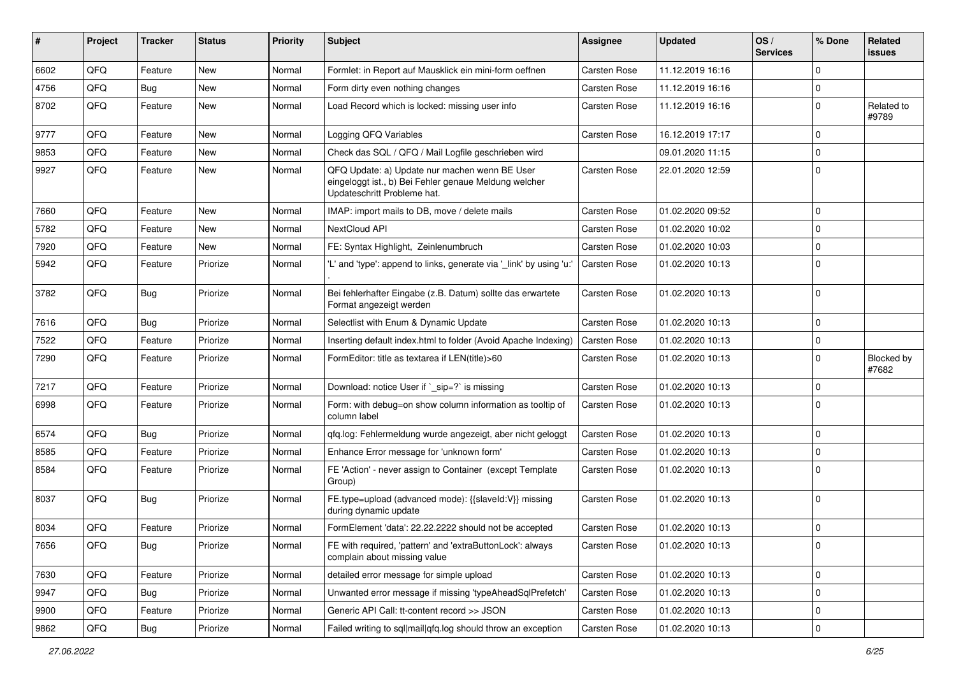| #    | <b>Project</b> | <b>Tracker</b> | <b>Status</b> | <b>Priority</b> | <b>Subject</b>                                                                                                                        | Assignee            | <b>Updated</b>   | OS/<br><b>Services</b> | % Done      | Related<br>issues   |
|------|----------------|----------------|---------------|-----------------|---------------------------------------------------------------------------------------------------------------------------------------|---------------------|------------------|------------------------|-------------|---------------------|
| 6602 | QFQ            | Feature        | <b>New</b>    | Normal          | Formlet: in Report auf Mausklick ein mini-form oeffnen                                                                                | Carsten Rose        | 11.12.2019 16:16 |                        | 0           |                     |
| 4756 | QFQ            | Bug            | New           | Normal          | Form dirty even nothing changes                                                                                                       | <b>Carsten Rose</b> | 11.12.2019 16:16 |                        | $\mathbf 0$ |                     |
| 8702 | QFQ            | Feature        | New           | Normal          | Load Record which is locked: missing user info                                                                                        | Carsten Rose        | 11.12.2019 16:16 |                        | $\mathbf 0$ | Related to<br>#9789 |
| 9777 | QFQ            | Feature        | New           | Normal          | Logging QFQ Variables                                                                                                                 | Carsten Rose        | 16.12.2019 17:17 |                        | $\mathbf 0$ |                     |
| 9853 | QFQ            | Feature        | New           | Normal          | Check das SQL / QFQ / Mail Logfile geschrieben wird                                                                                   |                     | 09.01.2020 11:15 |                        | $\mathbf 0$ |                     |
| 9927 | QFQ            | Feature        | New           | Normal          | QFQ Update: a) Update nur machen wenn BE User<br>eingeloggt ist., b) Bei Fehler genaue Meldung welcher<br>Updateschritt Probleme hat. | <b>Carsten Rose</b> | 22.01.2020 12:59 |                        | $\mathbf 0$ |                     |
| 7660 | QFQ            | Feature        | New           | Normal          | IMAP: import mails to DB, move / delete mails                                                                                         | Carsten Rose        | 01.02.2020 09:52 |                        | $\mathbf 0$ |                     |
| 5782 | QFQ            | Feature        | New           | Normal          | NextCloud API                                                                                                                         | <b>Carsten Rose</b> | 01.02.2020 10:02 |                        | $\mathbf 0$ |                     |
| 7920 | QFQ            | Feature        | New           | Normal          | FE: Syntax Highlight, Zeinlenumbruch                                                                                                  | Carsten Rose        | 01.02.2020 10:03 |                        | $\mathbf 0$ |                     |
| 5942 | QFQ            | Feature        | Priorize      | Normal          | 'L' and 'type': append to links, generate via '_link' by using 'u:'                                                                   | <b>Carsten Rose</b> | 01.02.2020 10:13 |                        | $\mathbf 0$ |                     |
| 3782 | QFQ            | <b>Bug</b>     | Priorize      | Normal          | Bei fehlerhafter Eingabe (z.B. Datum) sollte das erwartete<br>Format angezeigt werden                                                 | <b>Carsten Rose</b> | 01.02.2020 10:13 |                        | $\mathbf 0$ |                     |
| 7616 | QFQ            | <b>Bug</b>     | Priorize      | Normal          | Selectlist with Enum & Dynamic Update                                                                                                 | <b>Carsten Rose</b> | 01.02.2020 10:13 |                        | $\mathbf 0$ |                     |
| 7522 | QFQ            | Feature        | Priorize      | Normal          | Inserting default index.html to folder (Avoid Apache Indexing)                                                                        | <b>Carsten Rose</b> | 01.02.2020 10:13 |                        | 0           |                     |
| 7290 | QFQ            | Feature        | Priorize      | Normal          | FormEditor: title as textarea if LEN(title)>60                                                                                        | <b>Carsten Rose</b> | 01.02.2020 10:13 |                        | $\mathbf 0$ | Blocked by<br>#7682 |
| 7217 | QFQ            | Feature        | Priorize      | Normal          | Download: notice User if `_sip=?` is missing                                                                                          | Carsten Rose        | 01.02.2020 10:13 |                        | $\mathbf 0$ |                     |
| 6998 | QFQ            | Feature        | Priorize      | Normal          | Form: with debug=on show column information as tooltip of<br>column label                                                             | <b>Carsten Rose</b> | 01.02.2020 10:13 |                        | $\mathbf 0$ |                     |
| 6574 | QFQ            | Bug            | Priorize      | Normal          | gfg.log: Fehlermeldung wurde angezeigt, aber nicht geloggt                                                                            | <b>Carsten Rose</b> | 01.02.2020 10:13 |                        | $\mathbf 0$ |                     |
| 8585 | QFQ            | Feature        | Priorize      | Normal          | Enhance Error message for 'unknown form'                                                                                              | Carsten Rose        | 01.02.2020 10:13 |                        | $\mathbf 0$ |                     |
| 8584 | QFQ            | Feature        | Priorize      | Normal          | FE 'Action' - never assign to Container (except Template<br>Group)                                                                    | Carsten Rose        | 01.02.2020 10:13 |                        | 0           |                     |
| 8037 | QFQ            | <b>Bug</b>     | Priorize      | Normal          | FE.type=upload (advanced mode): {{slaveld:V}} missing<br>during dynamic update                                                        | Carsten Rose        | 01.02.2020 10:13 |                        | $\mathbf 0$ |                     |
| 8034 | QFQ            | Feature        | Priorize      | Normal          | FormElement 'data': 22.22.2222 should not be accepted                                                                                 | <b>Carsten Rose</b> | 01.02.2020 10:13 |                        | $\mathbf 0$ |                     |
| 7656 | QFQ            | <b>Bug</b>     | Priorize      | Normal          | FE with required, 'pattern' and 'extraButtonLock': always<br>complain about missing value                                             | Carsten Rose        | 01.02.2020 10:13 |                        | 0           |                     |
| 7630 | QFQ            | Feature        | Priorize      | Normal          | detailed error message for simple upload                                                                                              | Carsten Rose        | 01.02.2020 10:13 |                        | $\mathbf 0$ |                     |
| 9947 | QFQ            | <b>Bug</b>     | Priorize      | Normal          | Unwanted error message if missing 'typeAheadSqlPrefetch'                                                                              | Carsten Rose        | 01.02.2020 10:13 |                        | 0           |                     |
| 9900 | QFQ            | Feature        | Priorize      | Normal          | Generic API Call: tt-content record >> JSON                                                                                           | Carsten Rose        | 01.02.2020 10:13 |                        | 0           |                     |
| 9862 | $\mathsf{QFQ}$ | <b>Bug</b>     | Priorize      | Normal          | Failed writing to sql mail qfq.log should throw an exception                                                                          | Carsten Rose        | 01.02.2020 10:13 |                        | $\pmb{0}$   |                     |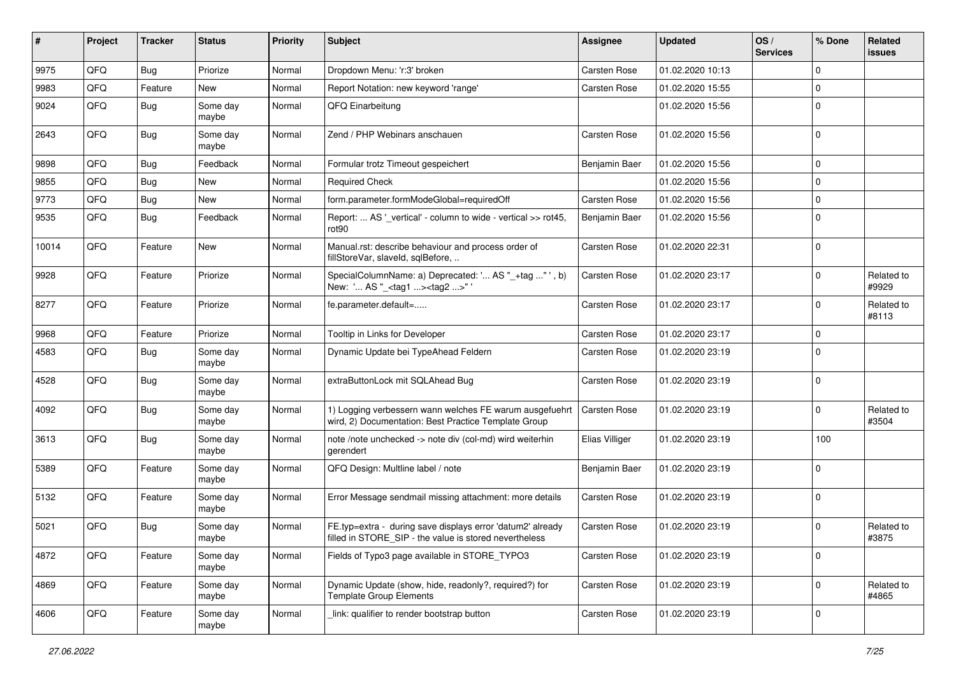| #     | Project | <b>Tracker</b> | <b>Status</b>     | <b>Priority</b> | Subject                                                                                                              | Assignee            | <b>Updated</b>   | OS/<br><b>Services</b> | % Done      | Related<br>issues   |
|-------|---------|----------------|-------------------|-----------------|----------------------------------------------------------------------------------------------------------------------|---------------------|------------------|------------------------|-------------|---------------------|
| 9975  | QFQ     | <b>Bug</b>     | Priorize          | Normal          | Dropdown Menu: 'r:3' broken                                                                                          | <b>Carsten Rose</b> | 01.02.2020 10:13 |                        | $\mathbf 0$ |                     |
| 9983  | QFQ     | Feature        | New               | Normal          | Report Notation: new keyword 'range'                                                                                 | Carsten Rose        | 01.02.2020 15:55 |                        | $\mathbf 0$ |                     |
| 9024  | QFQ     | Bug            | Some day<br>maybe | Normal          | QFQ Einarbeitung                                                                                                     |                     | 01.02.2020 15:56 |                        | $\mathbf 0$ |                     |
| 2643  | QFQ     | <b>Bug</b>     | Some day<br>maybe | Normal          | Zend / PHP Webinars anschauen                                                                                        | Carsten Rose        | 01.02.2020 15:56 |                        | $\mathbf 0$ |                     |
| 9898  | QFQ     | Bug            | Feedback          | Normal          | Formular trotz Timeout gespeichert                                                                                   | Benjamin Baer       | 01.02.2020 15:56 |                        | 0           |                     |
| 9855  | QFQ     | Bug            | New               | Normal          | <b>Required Check</b>                                                                                                |                     | 01.02.2020 15:56 |                        | $\mathbf 0$ |                     |
| 9773  | QFQ     | Bug            | <b>New</b>        | Normal          | form.parameter.formModeGlobal=requiredOff                                                                            | <b>Carsten Rose</b> | 01.02.2020 15:56 |                        | $\mathbf 0$ |                     |
| 9535  | QFQ     | <b>Bug</b>     | Feedback          | Normal          | Report:  AS '_vertical' - column to wide - vertical >> rot45,<br>rot90                                               | Benjamin Baer       | 01.02.2020 15:56 |                        | $\mathbf 0$ |                     |
| 10014 | QFQ     | Feature        | <b>New</b>        | Normal          | Manual.rst: describe behaviour and process order of<br>fillStoreVar, slaveId, sqlBefore,                             | <b>Carsten Rose</b> | 01.02.2020 22:31 |                        | $\mathbf 0$ |                     |
| 9928  | QFQ     | Feature        | Priorize          | Normal          | SpecialColumnName: a) Deprecated: ' AS "_+tag " ', b)<br>New: ' AS "_ <tag1><tag2>"'</tag2></tag1>                   | <b>Carsten Rose</b> | 01.02.2020 23:17 |                        | $\mathbf 0$ | Related to<br>#9929 |
| 8277  | QFQ     | Feature        | Priorize          | Normal          | fe.parameter.default=                                                                                                | Carsten Rose        | 01.02.2020 23:17 |                        | 0           | Related to<br>#8113 |
| 9968  | QFQ     | Feature        | Priorize          | Normal          | Tooltip in Links for Developer                                                                                       | Carsten Rose        | 01.02.2020 23:17 |                        | $\mathbf 0$ |                     |
| 4583  | QFQ     | Bug            | Some day<br>maybe | Normal          | Dynamic Update bei TypeAhead Feldern                                                                                 | Carsten Rose        | 01.02.2020 23:19 |                        | $\mathbf 0$ |                     |
| 4528  | QFQ     | Bug            | Some day<br>maybe | Normal          | extraButtonLock mit SQLAhead Bug                                                                                     | Carsten Rose        | 01.02.2020 23:19 |                        | $\Omega$    |                     |
| 4092  | QFQ     | <b>Bug</b>     | Some day<br>maybe | Normal          | 1) Logging verbessern wann welches FE warum ausgefuehrt<br>wird, 2) Documentation: Best Practice Template Group      | <b>Carsten Rose</b> | 01.02.2020 23:19 |                        | 0           | Related to<br>#3504 |
| 3613  | QFQ     | <b>Bug</b>     | Some day<br>maybe | Normal          | note /note unchecked -> note div (col-md) wird weiterhin<br>gerendert                                                | Elias Villiger      | 01.02.2020 23:19 |                        | 100         |                     |
| 5389  | QFQ     | Feature        | Some day<br>maybe | Normal          | QFQ Design: Multline label / note                                                                                    | Benjamin Baer       | 01.02.2020 23:19 |                        | 0           |                     |
| 5132  | QFQ     | Feature        | Some day<br>maybe | Normal          | Error Message sendmail missing attachment: more details                                                              | Carsten Rose        | 01.02.2020 23:19 |                        | 0           |                     |
| 5021  | QFQ     | <b>Bug</b>     | Some day<br>maybe | Normal          | FE.typ=extra - during save displays error 'datum2' already<br>filled in STORE SIP - the value is stored nevertheless | <b>Carsten Rose</b> | 01.02.2020 23:19 |                        | $\mathbf 0$ | Related to<br>#3875 |
| 4872  | QFQ     | Feature        | Some day<br>maybe | Normal          | Fields of Typo3 page available in STORE_TYPO3                                                                        | Carsten Rose        | 01.02.2020 23:19 |                        | 0           |                     |
| 4869  | QFQ     | Feature        | Some day<br>maybe | Normal          | Dynamic Update (show, hide, readonly?, required?) for<br><b>Template Group Elements</b>                              | Carsten Rose        | 01.02.2020 23:19 |                        | 0           | Related to<br>#4865 |
| 4606  | QFG     | Feature        | Some day<br>maybe | Normal          | link: qualifier to render bootstrap button                                                                           | Carsten Rose        | 01.02.2020 23:19 |                        | 0           |                     |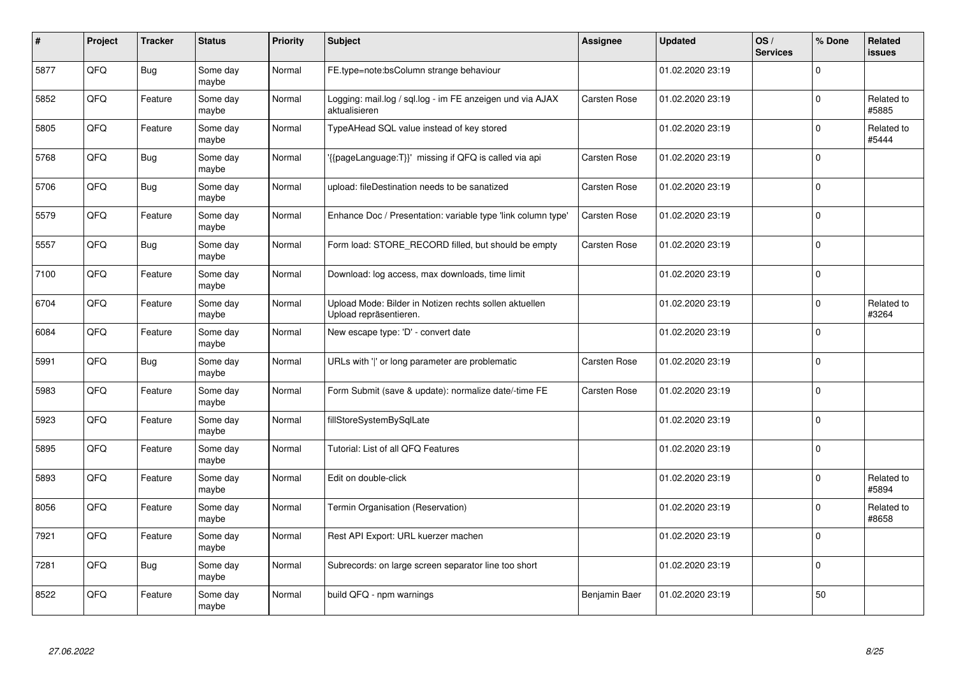| #    | Project | <b>Tracker</b> | <b>Status</b>     | <b>Priority</b> | <b>Subject</b>                                                                   | Assignee            | <b>Updated</b>   | OS/<br><b>Services</b> | % Done      | Related<br>issues   |
|------|---------|----------------|-------------------|-----------------|----------------------------------------------------------------------------------|---------------------|------------------|------------------------|-------------|---------------------|
| 5877 | QFQ     | <b>Bug</b>     | Some day<br>maybe | Normal          | FE.type=note:bsColumn strange behaviour                                          |                     | 01.02.2020 23:19 |                        | $\Omega$    |                     |
| 5852 | QFQ     | Feature        | Some day<br>maybe | Normal          | Logging: mail.log / sql.log - im FE anzeigen und via AJAX<br>aktualisieren       | Carsten Rose        | 01.02.2020 23:19 |                        | $\Omega$    | Related to<br>#5885 |
| 5805 | QFQ     | Feature        | Some day<br>maybe | Normal          | TypeAHead SQL value instead of key stored                                        |                     | 01.02.2020 23:19 |                        | $\Omega$    | Related to<br>#5444 |
| 5768 | QFQ     | <b>Bug</b>     | Some day<br>maybe | Normal          | {{pageLanguage:T}}' missing if QFQ is called via api                             | <b>Carsten Rose</b> | 01.02.2020 23:19 |                        | $\Omega$    |                     |
| 5706 | QFQ     | <b>Bug</b>     | Some day<br>maybe | Normal          | upload: fileDestination needs to be sanatized                                    | <b>Carsten Rose</b> | 01.02.2020 23:19 |                        | 0           |                     |
| 5579 | QFQ     | Feature        | Some day<br>maybe | Normal          | Enhance Doc / Presentation: variable type 'link column type'                     | Carsten Rose        | 01.02.2020 23:19 |                        | $\Omega$    |                     |
| 5557 | QFQ     | <b>Bug</b>     | Some day<br>maybe | Normal          | Form load: STORE_RECORD filled, but should be empty                              | Carsten Rose        | 01.02.2020 23:19 |                        | $\Omega$    |                     |
| 7100 | QFQ     | Feature        | Some day<br>maybe | Normal          | Download: log access, max downloads, time limit                                  |                     | 01.02.2020 23:19 |                        | $\Omega$    |                     |
| 6704 | QFQ     | Feature        | Some day<br>maybe | Normal          | Upload Mode: Bilder in Notizen rechts sollen aktuellen<br>Upload repräsentieren. |                     | 01.02.2020 23:19 |                        | $\Omega$    | Related to<br>#3264 |
| 6084 | QFQ     | Feature        | Some day<br>maybe | Normal          | New escape type: 'D' - convert date                                              |                     | 01.02.2020 23:19 |                        | $\Omega$    |                     |
| 5991 | QFQ     | Bug            | Some day<br>maybe | Normal          | URLs with ' ' or long parameter are problematic                                  | <b>Carsten Rose</b> | 01.02.2020 23:19 |                        | $\mathbf 0$ |                     |
| 5983 | QFQ     | Feature        | Some day<br>maybe | Normal          | Form Submit (save & update): normalize date/-time FE                             | Carsten Rose        | 01.02.2020 23:19 |                        | $\mathbf 0$ |                     |
| 5923 | QFQ     | Feature        | Some day<br>maybe | Normal          | fillStoreSystemBySqlLate                                                         |                     | 01.02.2020 23:19 |                        | 0           |                     |
| 5895 | QFQ     | Feature        | Some day<br>maybe | Normal          | Tutorial: List of all QFQ Features                                               |                     | 01.02.2020 23:19 |                        | $\mathbf 0$ |                     |
| 5893 | QFQ     | Feature        | Some day<br>maybe | Normal          | Edit on double-click                                                             |                     | 01.02.2020 23:19 |                        | $\Omega$    | Related to<br>#5894 |
| 8056 | QFQ     | Feature        | Some day<br>maybe | Normal          | Termin Organisation (Reservation)                                                |                     | 01.02.2020 23:19 |                        | $\Omega$    | Related to<br>#8658 |
| 7921 | QFQ     | Feature        | Some day<br>maybe | Normal          | Rest API Export: URL kuerzer machen                                              |                     | 01.02.2020 23:19 |                        | $\Omega$    |                     |
| 7281 | QFQ     | <b>Bug</b>     | Some day<br>maybe | Normal          | Subrecords: on large screen separator line too short                             |                     | 01.02.2020 23:19 |                        | $\mathbf 0$ |                     |
| 8522 | QFQ     | Feature        | Some day<br>maybe | Normal          | build QFQ - npm warnings                                                         | Benjamin Baer       | 01.02.2020 23:19 |                        | 50          |                     |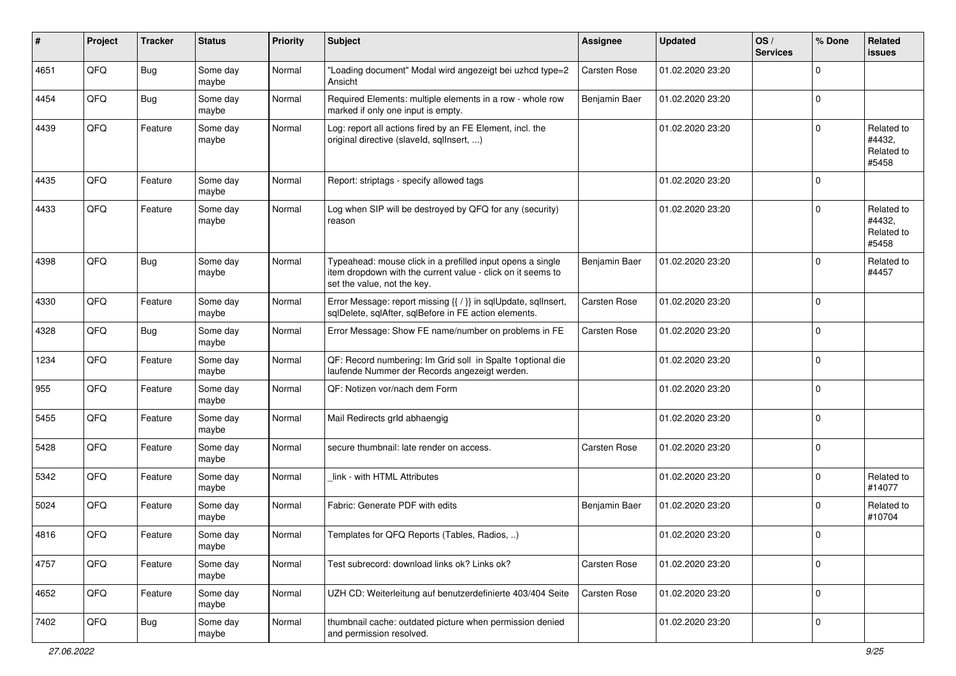| #    | Project | <b>Tracker</b> | <b>Status</b>     | <b>Priority</b> | <b>Subject</b>                                                                                                                                           | <b>Assignee</b> | <b>Updated</b>   | OS/<br><b>Services</b> | % Done      | Related<br>issues                           |
|------|---------|----------------|-------------------|-----------------|----------------------------------------------------------------------------------------------------------------------------------------------------------|-----------------|------------------|------------------------|-------------|---------------------------------------------|
| 4651 | QFQ     | <b>Bug</b>     | Some day<br>maybe | Normal          | "Loading document" Modal wird angezeigt bei uzhcd type=2<br>Ansicht                                                                                      | Carsten Rose    | 01.02.2020 23:20 |                        | $\Omega$    |                                             |
| 4454 | QFQ     | Bug            | Some day<br>maybe | Normal          | Required Elements: multiple elements in a row - whole row<br>marked if only one input is empty.                                                          | Benjamin Baer   | 01.02.2020 23:20 |                        | 0           |                                             |
| 4439 | QFQ     | Feature        | Some day<br>maybe | Normal          | Log: report all actions fired by an FE Element, incl. the<br>original directive (slaveld, sqllnsert, )                                                   |                 | 01.02.2020 23:20 |                        | $\Omega$    | Related to<br>#4432,<br>Related to<br>#5458 |
| 4435 | QFQ     | Feature        | Some day<br>maybe | Normal          | Report: striptags - specify allowed tags                                                                                                                 |                 | 01.02.2020 23:20 |                        | 0           |                                             |
| 4433 | QFQ     | Feature        | Some day<br>maybe | Normal          | Log when SIP will be destroyed by QFQ for any (security)<br>reason                                                                                       |                 | 01.02.2020 23:20 |                        | $\Omega$    | Related to<br>#4432,<br>Related to<br>#5458 |
| 4398 | QFQ     | <b>Bug</b>     | Some day<br>maybe | Normal          | Typeahead: mouse click in a prefilled input opens a single<br>item dropdown with the current value - click on it seems to<br>set the value, not the key. | Benjamin Baer   | 01.02.2020 23:20 |                        | $\Omega$    | Related to<br>#4457                         |
| 4330 | QFQ     | Feature        | Some day<br>maybe | Normal          | Error Message: report missing {{ / }} in sqlUpdate, sqlInsert,<br>sqlDelete, sqlAfter, sqlBefore in FE action elements.                                  | Carsten Rose    | 01.02.2020 23:20 |                        | $\mathbf 0$ |                                             |
| 4328 | QFQ     | <b>Bug</b>     | Some day<br>maybe | Normal          | Error Message: Show FE name/number on problems in FE                                                                                                     | Carsten Rose    | 01.02.2020 23:20 |                        | $\mathbf 0$ |                                             |
| 1234 | QFQ     | Feature        | Some day<br>maybe | Normal          | QF: Record numbering: Im Grid soll in Spalte 1 optional die<br>laufende Nummer der Records angezeigt werden.                                             |                 | 01.02.2020 23:20 |                        | $\Omega$    |                                             |
| 955  | QFQ     | Feature        | Some day<br>maybe | Normal          | QF: Notizen vor/nach dem Form                                                                                                                            |                 | 01.02.2020 23:20 |                        | $\Omega$    |                                             |
| 5455 | QFQ     | Feature        | Some day<br>maybe | Normal          | Mail Redirects grld abhaengig                                                                                                                            |                 | 01.02.2020 23:20 |                        | $\Omega$    |                                             |
| 5428 | QFQ     | Feature        | Some day<br>maybe | Normal          | secure thumbnail: late render on access.                                                                                                                 | Carsten Rose    | 01.02.2020 23:20 |                        | $\Omega$    |                                             |
| 5342 | QFQ     | Feature        | Some day<br>maybe | Normal          | link - with HTML Attributes                                                                                                                              |                 | 01.02.2020 23:20 |                        | $\Omega$    | Related to<br>#14077                        |
| 5024 | QFQ     | Feature        | Some day<br>maybe | Normal          | Fabric: Generate PDF with edits                                                                                                                          | Benjamin Baer   | 01.02.2020 23:20 |                        | $\Omega$    | Related to<br>#10704                        |
| 4816 | QFQ     | Feature        | Some day<br>maybe | Normal          | Templates for QFQ Reports (Tables, Radios, )                                                                                                             |                 | 01.02.2020 23:20 |                        | 0 I         |                                             |
| 4757 | QFG     | Feature        | Some day<br>maybe | Normal          | Test subrecord: download links ok? Links ok?                                                                                                             | Carsten Rose    | 01.02.2020 23:20 |                        | $\mathbf 0$ |                                             |
| 4652 | QFG     | Feature        | Some day<br>maybe | Normal          | UZH CD: Weiterleitung auf benutzerdefinierte 403/404 Seite                                                                                               | Carsten Rose    | 01.02.2020 23:20 |                        | $\mathbf 0$ |                                             |
| 7402 | QFG     | <b>Bug</b>     | Some day<br>maybe | Normal          | thumbnail cache: outdated picture when permission denied<br>and permission resolved.                                                                     |                 | 01.02.2020 23:20 |                        | 0           |                                             |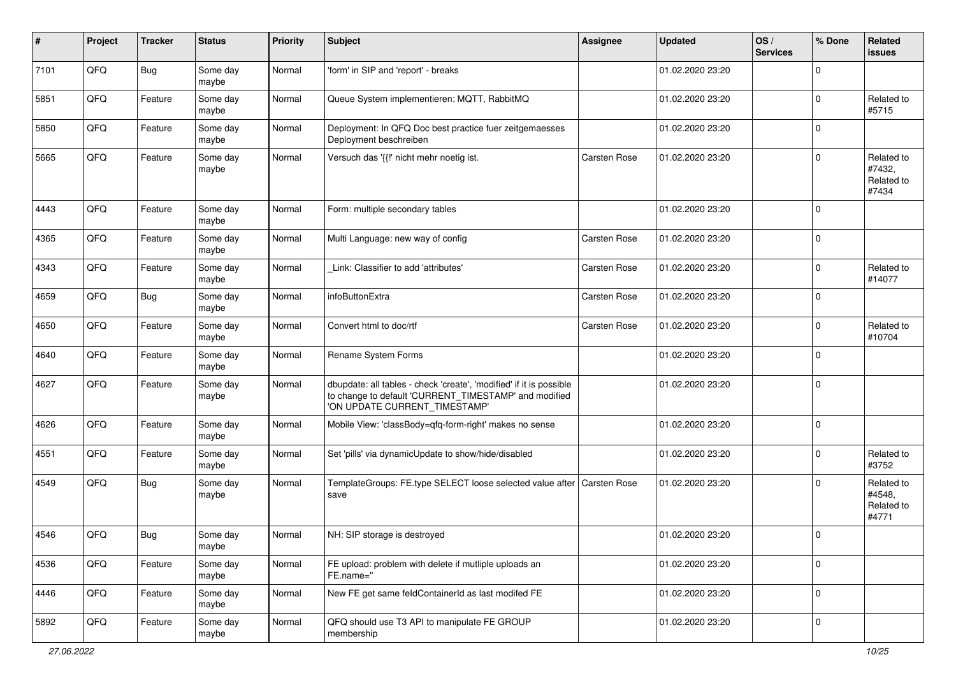| #    | Project | <b>Tracker</b> | <b>Status</b>     | <b>Priority</b> | <b>Subject</b>                                                                                                                                                | <b>Assignee</b>     | <b>Updated</b>   | OS/<br><b>Services</b> | % Done      | Related<br>issues                           |
|------|---------|----------------|-------------------|-----------------|---------------------------------------------------------------------------------------------------------------------------------------------------------------|---------------------|------------------|------------------------|-------------|---------------------------------------------|
| 7101 | QFQ     | <b>Bug</b>     | Some day<br>maybe | Normal          | 'form' in SIP and 'report' - breaks                                                                                                                           |                     | 01.02.2020 23:20 |                        | 0           |                                             |
| 5851 | QFQ     | Feature        | Some day<br>maybe | Normal          | Queue System implementieren: MQTT, RabbitMQ                                                                                                                   |                     | 01.02.2020 23:20 |                        | $\Omega$    | Related to<br>#5715                         |
| 5850 | QFQ     | Feature        | Some day<br>maybe | Normal          | Deployment: In QFQ Doc best practice fuer zeitgemaesses<br>Deployment beschreiben                                                                             |                     | 01.02.2020 23:20 |                        | 0           |                                             |
| 5665 | QFQ     | Feature        | Some day<br>maybe | Normal          | Versuch das '{{!' nicht mehr noetig ist.                                                                                                                      | <b>Carsten Rose</b> | 01.02.2020 23:20 |                        | $\Omega$    | Related to<br>#7432,<br>Related to<br>#7434 |
| 4443 | QFQ     | Feature        | Some day<br>maybe | Normal          | Form: multiple secondary tables                                                                                                                               |                     | 01.02.2020 23:20 |                        | 0           |                                             |
| 4365 | QFQ     | Feature        | Some day<br>maybe | Normal          | Multi Language: new way of config                                                                                                                             | <b>Carsten Rose</b> | 01.02.2020 23:20 |                        | $\mathbf 0$ |                                             |
| 4343 | QFQ     | Feature        | Some day<br>maybe | Normal          | Link: Classifier to add 'attributes'                                                                                                                          | Carsten Rose        | 01.02.2020 23:20 |                        | 0           | Related to<br>#14077                        |
| 4659 | QFQ     | <b>Bug</b>     | Some day<br>maybe | Normal          | infoButtonExtra                                                                                                                                               | Carsten Rose        | 01.02.2020 23:20 |                        | $\Omega$    |                                             |
| 4650 | QFQ     | Feature        | Some day<br>maybe | Normal          | Convert html to doc/rtf                                                                                                                                       | <b>Carsten Rose</b> | 01.02.2020 23:20 |                        | 0           | Related to<br>#10704                        |
| 4640 | QFQ     | Feature        | Some day<br>maybe | Normal          | Rename System Forms                                                                                                                                           |                     | 01.02.2020 23:20 |                        | $\Omega$    |                                             |
| 4627 | QFQ     | Feature        | Some day<br>maybe | Normal          | dbupdate: all tables - check 'create', 'modified' if it is possible<br>to change to default 'CURRENT_TIMESTAMP' and modified<br>'ON UPDATE CURRENT_TIMESTAMP' |                     | 01.02.2020 23:20 |                        | 0           |                                             |
| 4626 | QFQ     | Feature        | Some day<br>maybe | Normal          | Mobile View: 'classBody=qfq-form-right' makes no sense                                                                                                        |                     | 01.02.2020 23:20 |                        | $\mathbf 0$ |                                             |
| 4551 | QFQ     | Feature        | Some day<br>maybe | Normal          | Set 'pills' via dynamicUpdate to show/hide/disabled                                                                                                           |                     | 01.02.2020 23:20 |                        | 0           | Related to<br>#3752                         |
| 4549 | QFQ     | <b>Bug</b>     | Some day<br>maybe | Normal          | TemplateGroups: FE.type SELECT loose selected value after   Carsten Rose<br>save                                                                              |                     | 01.02.2020 23:20 |                        | $\Omega$    | Related to<br>#4548,<br>Related to<br>#4771 |
| 4546 | QFQ     | <b>Bug</b>     | Some day<br>maybe | Normal          | NH: SIP storage is destroyed                                                                                                                                  |                     | 01.02.2020 23:20 |                        | 0           |                                             |
| 4536 | QFG     | Feature        | Some day<br>maybe | Normal          | FE upload: problem with delete if mutliple uploads an<br>FE.name="                                                                                            |                     | 01.02.2020 23:20 |                        | $\mathbf 0$ |                                             |
| 4446 | QFQ     | Feature        | Some day<br>maybe | Normal          | New FE get same feldContainerId as last modifed FE                                                                                                            |                     | 01.02.2020 23:20 |                        | $\mathbf 0$ |                                             |
| 5892 | QFG     | Feature        | Some day<br>maybe | Normal          | QFQ should use T3 API to manipulate FE GROUP<br>membership                                                                                                    |                     | 01.02.2020 23:20 |                        | 0           |                                             |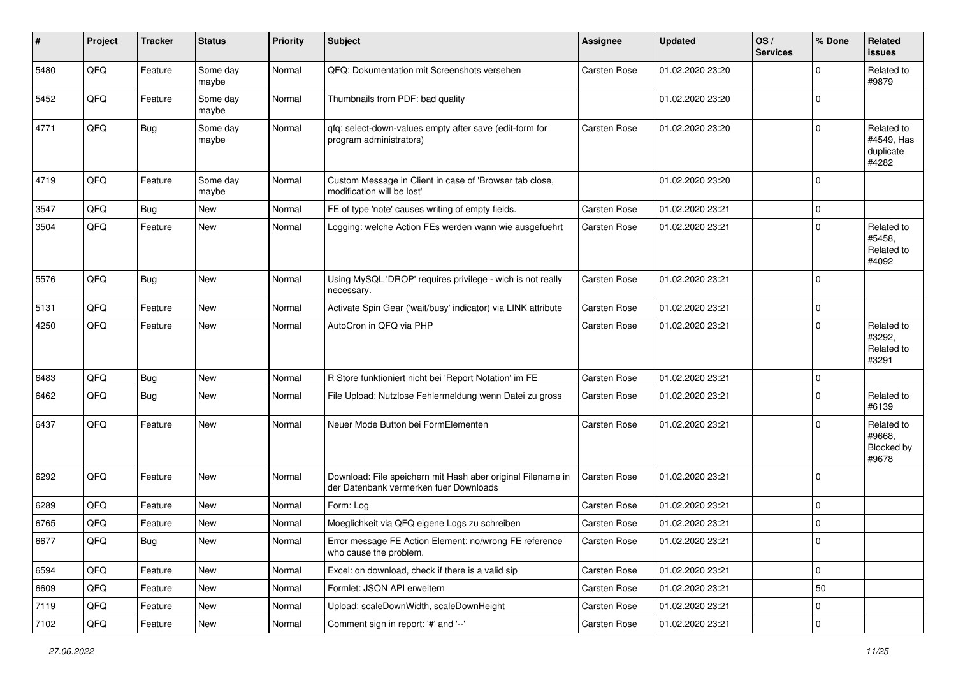| ∦    | Project        | <b>Tracker</b> | <b>Status</b>     | <b>Priority</b> | <b>Subject</b>                                                                                        | <b>Assignee</b> | <b>Updated</b>   | OS/<br><b>Services</b> | % Done       | Related<br>issues                              |
|------|----------------|----------------|-------------------|-----------------|-------------------------------------------------------------------------------------------------------|-----------------|------------------|------------------------|--------------|------------------------------------------------|
| 5480 | QFQ            | Feature        | Some day<br>maybe | Normal          | QFQ: Dokumentation mit Screenshots versehen                                                           | Carsten Rose    | 01.02.2020 23:20 |                        | 0            | Related to<br>#9879                            |
| 5452 | QFQ            | Feature        | Some day<br>maybe | Normal          | Thumbnails from PDF: bad quality                                                                      |                 | 01.02.2020 23:20 |                        | $\mathbf 0$  |                                                |
| 4771 | QFQ            | Bug            | Some day<br>maybe | Normal          | qfq: select-down-values empty after save (edit-form for<br>program administrators)                    | Carsten Rose    | 01.02.2020 23:20 |                        | 0            | Related to<br>#4549, Has<br>duplicate<br>#4282 |
| 4719 | QFQ            | Feature        | Some day<br>maybe | Normal          | Custom Message in Client in case of 'Browser tab close,<br>modification will be lost'                 |                 | 01.02.2020 23:20 |                        | 0            |                                                |
| 3547 | QFQ            | Bug            | New               | Normal          | FE of type 'note' causes writing of empty fields.                                                     | Carsten Rose    | 01.02.2020 23:21 |                        | 0            |                                                |
| 3504 | QFQ            | Feature        | New               | Normal          | Logging: welche Action FEs werden wann wie ausgefuehrt                                                | Carsten Rose    | 01.02.2020 23:21 |                        | 0            | Related to<br>#5458,<br>Related to<br>#4092    |
| 5576 | QFQ            | <b>Bug</b>     | New               | Normal          | Using MySQL 'DROP' requires privilege - wich is not really<br>necessary.                              | Carsten Rose    | 01.02.2020 23:21 |                        | $\mathbf 0$  |                                                |
| 5131 | QFQ            | Feature        | <b>New</b>        | Normal          | Activate Spin Gear ('wait/busy' indicator) via LINK attribute                                         | Carsten Rose    | 01.02.2020 23:21 |                        | 0            |                                                |
| 4250 | QFQ            | Feature        | New               | Normal          | AutoCron in QFQ via PHP                                                                               | Carsten Rose    | 01.02.2020 23:21 |                        | 0            | Related to<br>#3292,<br>Related to<br>#3291    |
| 6483 | QFQ            | <b>Bug</b>     | New               | Normal          | R Store funktioniert nicht bei 'Report Notation' im FE                                                | Carsten Rose    | 01.02.2020 23:21 |                        | 0            |                                                |
| 6462 | QFQ            | <b>Bug</b>     | New               | Normal          | File Upload: Nutzlose Fehlermeldung wenn Datei zu gross                                               | Carsten Rose    | 01.02.2020 23:21 |                        | 0            | Related to<br>#6139                            |
| 6437 | QFQ            | Feature        | New               | Normal          | Neuer Mode Button bei FormElementen                                                                   | Carsten Rose    | 01.02.2020 23:21 |                        | 0            | Related to<br>#9668.<br>Blocked by<br>#9678    |
| 6292 | QFQ            | Feature        | New               | Normal          | Download: File speichern mit Hash aber original Filename in<br>der Datenbank vermerken fuer Downloads | Carsten Rose    | 01.02.2020 23:21 |                        | $\mathbf 0$  |                                                |
| 6289 | QFQ            | Feature        | New               | Normal          | Form: Log                                                                                             | Carsten Rose    | 01.02.2020 23:21 |                        | $\mathbf 0$  |                                                |
| 6765 | QFQ            | Feature        | New               | Normal          | Moeglichkeit via QFQ eigene Logs zu schreiben                                                         | Carsten Rose    | 01.02.2020 23:21 |                        | 0            |                                                |
| 6677 | $\mathsf{QFQ}$ | Bug            | New               | Normal          | Error message FE Action Element: no/wrong FE reference<br>who cause the problem.                      | Carsten Rose    | 01.02.2020 23:21 |                        | 0            |                                                |
| 6594 | QFQ            | Feature        | New               | Normal          | Excel: on download, check if there is a valid sip                                                     | Carsten Rose    | 01.02.2020 23:21 |                        | $\mathsf{O}$ |                                                |
| 6609 | QFQ            | Feature        | New               | Normal          | Formlet: JSON API erweitern                                                                           | Carsten Rose    | 01.02.2020 23:21 |                        | 50           |                                                |
| 7119 | QFQ            | Feature        | New               | Normal          | Upload: scaleDownWidth, scaleDownHeight                                                               | Carsten Rose    | 01.02.2020 23:21 |                        | $\mathbf 0$  |                                                |
| 7102 | QFQ            | Feature        | New               | Normal          | Comment sign in report: '#' and '--'                                                                  | Carsten Rose    | 01.02.2020 23:21 |                        | $\mathbf 0$  |                                                |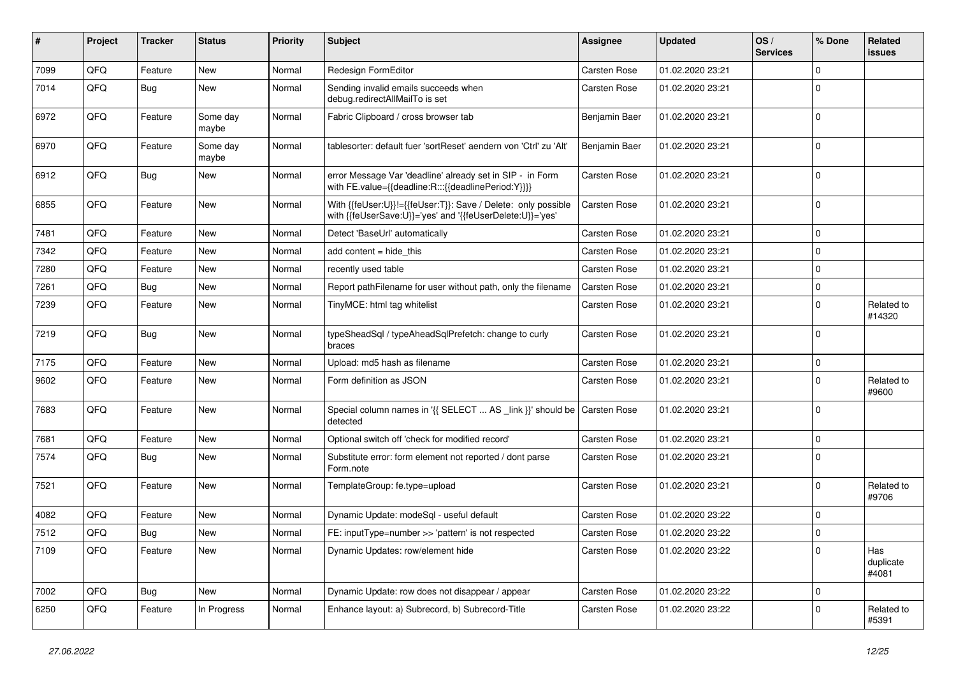| ∦    | Project | <b>Tracker</b> | <b>Status</b>     | <b>Priority</b> | <b>Subject</b>                                                                                                             | <b>Assignee</b> | <b>Updated</b>   | OS/<br><b>Services</b> | % Done      | Related<br>issues         |
|------|---------|----------------|-------------------|-----------------|----------------------------------------------------------------------------------------------------------------------------|-----------------|------------------|------------------------|-------------|---------------------------|
| 7099 | QFQ     | Feature        | New               | Normal          | Redesign FormEditor                                                                                                        | Carsten Rose    | 01.02.2020 23:21 |                        | $\mathbf 0$ |                           |
| 7014 | QFQ     | Bug            | New               | Normal          | Sending invalid emails succeeds when<br>debug.redirectAllMailTo is set                                                     | Carsten Rose    | 01.02.2020 23:21 |                        | $\mathbf 0$ |                           |
| 6972 | QFQ     | Feature        | Some day<br>maybe | Normal          | Fabric Clipboard / cross browser tab                                                                                       | Benjamin Baer   | 01.02.2020 23:21 |                        | 0           |                           |
| 6970 | QFQ     | Feature        | Some day<br>maybe | Normal          | tablesorter: default fuer 'sortReset' aendern von 'Ctrl' zu 'Alt'                                                          | Benjamin Baer   | 01.02.2020 23:21 |                        | $\mathbf 0$ |                           |
| 6912 | QFQ     | <b>Bug</b>     | New               | Normal          | error Message Var 'deadline' already set in SIP - in Form<br>with FE.value={{deadline:R:::{{deadlinePeriod:Y}}}}           | Carsten Rose    | 01.02.2020 23:21 |                        | $\mathbf 0$ |                           |
| 6855 | QFQ     | Feature        | New               | Normal          | With {{feUser:U}}!={{feUser:T}}: Save / Delete: only possible<br>with {{feUserSave:U}}='yes' and '{{feUserDelete:U}}='yes' | Carsten Rose    | 01.02.2020 23:21 |                        | $\mathbf 0$ |                           |
| 7481 | QFQ     | Feature        | New               | Normal          | Detect 'BaseUrl' automatically                                                                                             | Carsten Rose    | 01.02.2020 23:21 |                        | 0           |                           |
| 7342 | QFQ     | Feature        | New               | Normal          | add content = hide this                                                                                                    | Carsten Rose    | 01.02.2020 23:21 |                        | $\mathbf 0$ |                           |
| 7280 | QFQ     | Feature        | New               | Normal          | recently used table                                                                                                        | Carsten Rose    | 01.02.2020 23:21 |                        | 0           |                           |
| 7261 | QFQ     | Bug            | New               | Normal          | Report pathFilename for user without path, only the filename                                                               | Carsten Rose    | 01.02.2020 23:21 |                        | 0           |                           |
| 7239 | QFQ     | Feature        | New               | Normal          | TinyMCE: html tag whitelist                                                                                                | Carsten Rose    | 01.02.2020 23:21 |                        | 0           | Related to<br>#14320      |
| 7219 | QFQ     | <b>Bug</b>     | New               | Normal          | typeSheadSql / typeAheadSqlPrefetch: change to curly<br>braces                                                             | Carsten Rose    | 01.02.2020 23:21 |                        | 0           |                           |
| 7175 | QFQ     | Feature        | New               | Normal          | Upload: md5 hash as filename                                                                                               | Carsten Rose    | 01.02.2020 23:21 |                        | 0           |                           |
| 9602 | QFQ     | Feature        | New               | Normal          | Form definition as JSON                                                                                                    | Carsten Rose    | 01.02.2020 23:21 |                        | $\mathbf 0$ | Related to<br>#9600       |
| 7683 | QFQ     | Feature        | New               | Normal          | Special column names in '{{ SELECT  AS _link }}' should be Carsten Rose<br>detected                                        |                 | 01.02.2020 23:21 |                        | 0           |                           |
| 7681 | QFQ     | Feature        | New               | Normal          | Optional switch off 'check for modified record'                                                                            | Carsten Rose    | 01.02.2020 23:21 |                        | 0           |                           |
| 7574 | QFQ     | Bug            | New               | Normal          | Substitute error: form element not reported / dont parse<br>Form.note                                                      | Carsten Rose    | 01.02.2020 23:21 |                        | $\mathbf 0$ |                           |
| 7521 | QFQ     | Feature        | New               | Normal          | TemplateGroup: fe.type=upload                                                                                              | Carsten Rose    | 01.02.2020 23:21 |                        | $\mathbf 0$ | Related to<br>#9706       |
| 4082 | QFQ     | Feature        | New               | Normal          | Dynamic Update: modeSql - useful default                                                                                   | Carsten Rose    | 01.02.2020 23:22 |                        | $\mathbf 0$ |                           |
| 7512 | QFQ     | <b>Bug</b>     | New               | Normal          | FE: inputType=number >> 'pattern' is not respected                                                                         | Carsten Rose    | 01.02.2020 23:22 |                        | 0           |                           |
| 7109 | QFQ     | Feature        | New               | Normal          | Dynamic Updates: row/element hide                                                                                          | Carsten Rose    | 01.02.2020 23:22 |                        | 0           | Has<br>duplicate<br>#4081 |
| 7002 | QFQ     | <b>Bug</b>     | New               | Normal          | Dynamic Update: row does not disappear / appear                                                                            | Carsten Rose    | 01.02.2020 23:22 |                        | 0           |                           |
| 6250 | QFQ     | Feature        | In Progress       | Normal          | Enhance layout: a) Subrecord, b) Subrecord-Title                                                                           | Carsten Rose    | 01.02.2020 23:22 |                        | 0           | Related to<br>#5391       |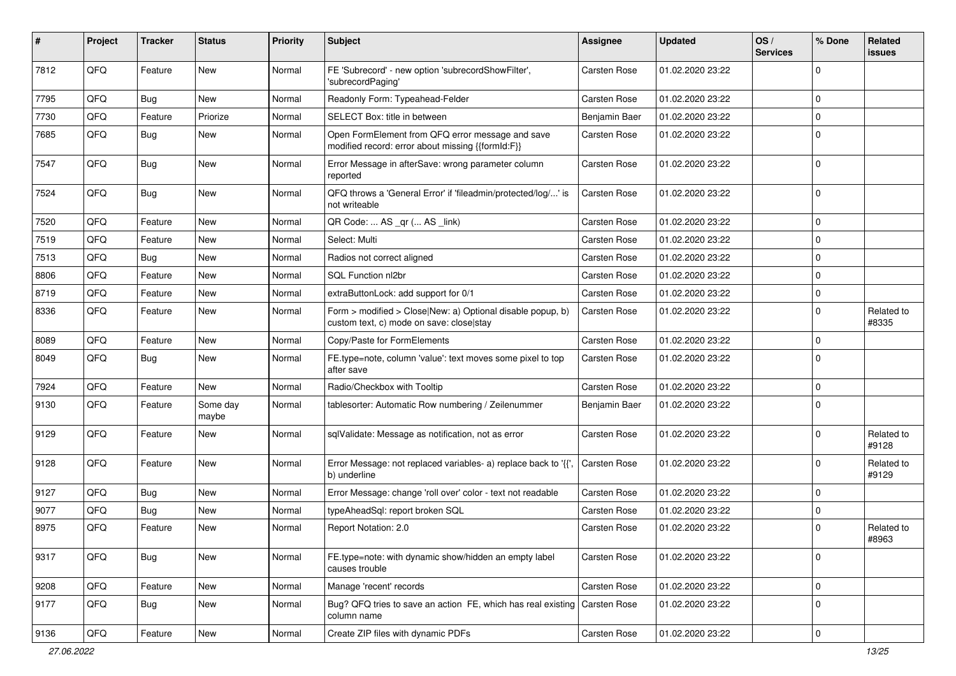| ∦    | Project | <b>Tracker</b> | <b>Status</b>     | Priority | Subject                                                                                                | <b>Assignee</b>     | <b>Updated</b>   | OS/<br><b>Services</b> | % Done      | Related<br><b>issues</b> |
|------|---------|----------------|-------------------|----------|--------------------------------------------------------------------------------------------------------|---------------------|------------------|------------------------|-------------|--------------------------|
| 7812 | QFQ     | Feature        | New               | Normal   | FE 'Subrecord' - new option 'subrecordShowFilter',<br>'subrecordPaging'                                | Carsten Rose        | 01.02.2020 23:22 |                        | 0           |                          |
| 7795 | QFQ     | Bug            | <b>New</b>        | Normal   | Readonly Form: Typeahead-Felder                                                                        | Carsten Rose        | 01.02.2020 23:22 |                        | 0           |                          |
| 7730 | QFQ     | Feature        | Priorize          | Normal   | SELECT Box: title in between                                                                           | Benjamin Baer       | 01.02.2020 23:22 |                        | 0           |                          |
| 7685 | QFQ     | Bug            | New               | Normal   | Open FormElement from QFQ error message and save<br>modified record: error about missing {{formId:F}}  | Carsten Rose        | 01.02.2020 23:22 |                        | 0           |                          |
| 7547 | QFQ     | <b>Bug</b>     | New               | Normal   | Error Message in afterSave: wrong parameter column<br>reported                                         | Carsten Rose        | 01.02.2020 23:22 |                        | 0           |                          |
| 7524 | QFQ     | Bug            | New               | Normal   | QFQ throws a 'General Error' if 'fileadmin/protected/log/' is<br>not writeable                         | Carsten Rose        | 01.02.2020 23:22 |                        | 0           |                          |
| 7520 | QFQ     | Feature        | New               | Normal   | QR Code:  AS _qr ( AS _link)                                                                           | Carsten Rose        | 01.02.2020 23:22 |                        | 0           |                          |
| 7519 | QFQ     | Feature        | New               | Normal   | Select: Multi                                                                                          | Carsten Rose        | 01.02.2020 23:22 |                        | 0           |                          |
| 7513 | QFQ     | Bug            | <b>New</b>        | Normal   | Radios not correct aligned                                                                             | Carsten Rose        | 01.02.2020 23:22 |                        | 0           |                          |
| 8806 | QFQ     | Feature        | New               | Normal   | SQL Function nl2br                                                                                     | Carsten Rose        | 01.02.2020 23:22 |                        | 0           |                          |
| 8719 | QFQ     | Feature        | New               | Normal   | extraButtonLock: add support for 0/1                                                                   | Carsten Rose        | 01.02.2020 23:22 |                        | 0           |                          |
| 8336 | QFQ     | Feature        | New               | Normal   | Form > modified > Close New: a) Optional disable popup, b)<br>custom text, c) mode on save: close stay | Carsten Rose        | 01.02.2020 23:22 |                        | 0           | Related to<br>#8335      |
| 8089 | QFQ     | Feature        | New               | Normal   | Copy/Paste for FormElements                                                                            | Carsten Rose        | 01.02.2020 23:22 |                        | 0           |                          |
| 8049 | QFQ     | Bug            | New               | Normal   | FE.type=note, column 'value': text moves some pixel to top<br>after save                               | Carsten Rose        | 01.02.2020 23:22 |                        | 0           |                          |
| 7924 | QFQ     | Feature        | <b>New</b>        | Normal   | Radio/Checkbox with Tooltip                                                                            | Carsten Rose        | 01.02.2020 23:22 |                        | 0           |                          |
| 9130 | QFQ     | Feature        | Some day<br>maybe | Normal   | tablesorter: Automatic Row numbering / Zeilenummer                                                     | Benjamin Baer       | 01.02.2020 23:22 |                        | 0           |                          |
| 9129 | QFQ     | Feature        | New               | Normal   | sqlValidate: Message as notification, not as error                                                     | Carsten Rose        | 01.02.2020 23:22 |                        | 0           | Related to<br>#9128      |
| 9128 | QFQ     | Feature        | New               | Normal   | Error Message: not replaced variables- a) replace back to '{{',<br>b) underline                        | <b>Carsten Rose</b> | 01.02.2020 23:22 |                        | 0           | Related to<br>#9129      |
| 9127 | QFQ     | <b>Bug</b>     | New               | Normal   | Error Message: change 'roll over' color - text not readable                                            | Carsten Rose        | 01.02.2020 23:22 |                        | 0           |                          |
| 9077 | QFQ     | Bug            | New               | Normal   | typeAheadSql: report broken SQL                                                                        | Carsten Rose        | 01.02.2020 23:22 |                        | 0           |                          |
| 8975 | QFQ     | Feature        | New               | Normal   | Report Notation: 2.0                                                                                   | Carsten Rose        | 01.02.2020 23:22 |                        | 0           | Related to<br>#8963      |
| 9317 | QFQ     | <b>Bug</b>     | New               | Normal   | FE.type=note: with dynamic show/hidden an empty label<br>causes trouble                                | Carsten Rose        | 01.02.2020 23:22 |                        | $\mathbf 0$ |                          |
| 9208 | QFQ     | Feature        | New               | Normal   | Manage 'recent' records                                                                                | Carsten Rose        | 01.02.2020 23:22 |                        | 0           |                          |
| 9177 | QFQ     | <b>Bug</b>     | New               | Normal   | Bug? QFQ tries to save an action FE, which has real existing Carsten Rose<br>column name               |                     | 01.02.2020 23:22 |                        | 0           |                          |
| 9136 | QFQ     | Feature        | New               | Normal   | Create ZIP files with dynamic PDFs                                                                     | Carsten Rose        | 01.02.2020 23:22 |                        | 0           |                          |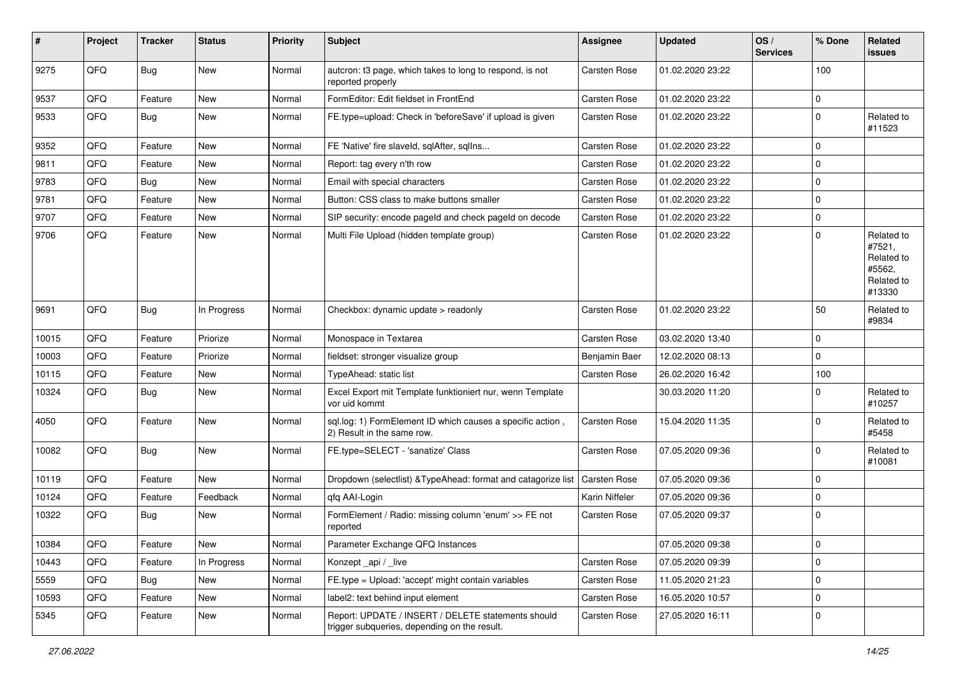| #     | Project | <b>Tracker</b> | <b>Status</b> | <b>Priority</b> | Subject                                                                                            | <b>Assignee</b>     | <b>Updated</b>   | OS/<br><b>Services</b> | % Done      | Related<br>issues                                                    |
|-------|---------|----------------|---------------|-----------------|----------------------------------------------------------------------------------------------------|---------------------|------------------|------------------------|-------------|----------------------------------------------------------------------|
| 9275  | QFQ     | <b>Bug</b>     | New           | Normal          | autcron: t3 page, which takes to long to respond, is not<br>reported properly                      | <b>Carsten Rose</b> | 01.02.2020 23:22 |                        | 100         |                                                                      |
| 9537  | QFQ     | Feature        | New           | Normal          | FormEditor: Edit fieldset in FrontEnd                                                              | Carsten Rose        | 01.02.2020 23:22 |                        | 0           |                                                                      |
| 9533  | QFQ     | <b>Bug</b>     | New           | Normal          | FE.type=upload: Check in 'beforeSave' if upload is given                                           | <b>Carsten Rose</b> | 01.02.2020 23:22 |                        | $\mathbf 0$ | Related to<br>#11523                                                 |
| 9352  | QFQ     | Feature        | New           | Normal          | FE 'Native' fire slaveld, sqlAfter, sqlIns                                                         | Carsten Rose        | 01.02.2020 23:22 |                        | $\mathbf 0$ |                                                                      |
| 9811  | QFQ     | Feature        | New           | Normal          | Report: tag every n'th row                                                                         | Carsten Rose        | 01.02.2020 23:22 |                        | $\mathbf 0$ |                                                                      |
| 9783  | QFQ     | Bug            | New           | Normal          | Email with special characters                                                                      | <b>Carsten Rose</b> | 01.02.2020 23:22 |                        | $\mathbf 0$ |                                                                      |
| 9781  | QFQ     | Feature        | <b>New</b>    | Normal          | Button: CSS class to make buttons smaller                                                          | <b>Carsten Rose</b> | 01.02.2020 23:22 |                        | $\mathbf 0$ |                                                                      |
| 9707  | QFQ     | Feature        | New           | Normal          | SIP security: encode pageld and check pageld on decode                                             | <b>Carsten Rose</b> | 01.02.2020 23:22 |                        | $\mathbf 0$ |                                                                      |
| 9706  | QFQ     | Feature        | New           | Normal          | Multi File Upload (hidden template group)                                                          | Carsten Rose        | 01.02.2020 23:22 |                        | $\mathbf 0$ | Related to<br>#7521,<br>Related to<br>#5562,<br>Related to<br>#13330 |
| 9691  | QFQ     | Bug            | In Progress   | Normal          | Checkbox: dynamic update > readonly                                                                | Carsten Rose        | 01.02.2020 23:22 |                        | 50          | Related to<br>#9834                                                  |
| 10015 | QFQ     | Feature        | Priorize      | Normal          | Monospace in Textarea                                                                              | <b>Carsten Rose</b> | 03.02.2020 13:40 |                        | $\mathbf 0$ |                                                                      |
| 10003 | QFQ     | Feature        | Priorize      | Normal          | fieldset: stronger visualize group                                                                 | Benjamin Baer       | 12.02.2020 08:13 |                        | $\mathbf 0$ |                                                                      |
| 10115 | QFQ     | Feature        | New           | Normal          | TypeAhead: static list                                                                             | Carsten Rose        | 26.02.2020 16:42 |                        | 100         |                                                                      |
| 10324 | QFQ     | <b>Bug</b>     | New           | Normal          | Excel Export mit Template funktioniert nur, wenn Template<br>vor uid kommt                         |                     | 30.03.2020 11:20 |                        | 0           | Related to<br>#10257                                                 |
| 4050  | QFQ     | Feature        | New           | Normal          | sql.log: 1) FormElement ID which causes a specific action,<br>2) Result in the same row.           | <b>Carsten Rose</b> | 15.04.2020 11:35 |                        | $\Omega$    | Related to<br>#5458                                                  |
| 10082 | QFQ     | <b>Bug</b>     | New           | Normal          | FE.type=SELECT - 'sanatize' Class                                                                  | Carsten Rose        | 07.05.2020 09:36 |                        | 0           | Related to<br>#10081                                                 |
| 10119 | QFQ     | Feature        | New           | Normal          | Dropdown (selectlist) & TypeAhead: format and catagorize list                                      | Carsten Rose        | 07.05.2020 09:36 |                        | 0           |                                                                      |
| 10124 | QFQ     | Feature        | Feedback      | Normal          | qfq AAI-Login                                                                                      | Karin Niffeler      | 07.05.2020 09:36 |                        | 0           |                                                                      |
| 10322 | QFQ     | Bug            | New           | Normal          | FormElement / Radio: missing column 'enum' >> FE not<br>reported                                   | <b>Carsten Rose</b> | 07.05.2020 09:37 |                        | $\mathbf 0$ |                                                                      |
| 10384 | QFQ     | Feature        | New           | Normal          | Parameter Exchange QFQ Instances                                                                   |                     | 07.05.2020 09:38 |                        | 0           |                                                                      |
| 10443 | QFQ     | Feature        | In Progress   | Normal          | Konzept_api / _live                                                                                | Carsten Rose        | 07.05.2020 09:39 |                        | $\mathbf 0$ |                                                                      |
| 5559  | QFQ     | <b>Bug</b>     | New           | Normal          | FE.type = Upload: 'accept' might contain variables                                                 | Carsten Rose        | 11.05.2020 21:23 |                        | $\mathbf 0$ |                                                                      |
| 10593 | QFQ     | Feature        | New           | Normal          | label2: text behind input element                                                                  | Carsten Rose        | 16.05.2020 10:57 |                        | 0           |                                                                      |
| 5345  | QFQ     | Feature        | New           | Normal          | Report: UPDATE / INSERT / DELETE statements should<br>trigger subqueries, depending on the result. | Carsten Rose        | 27.05.2020 16:11 |                        | $\mathbf 0$ |                                                                      |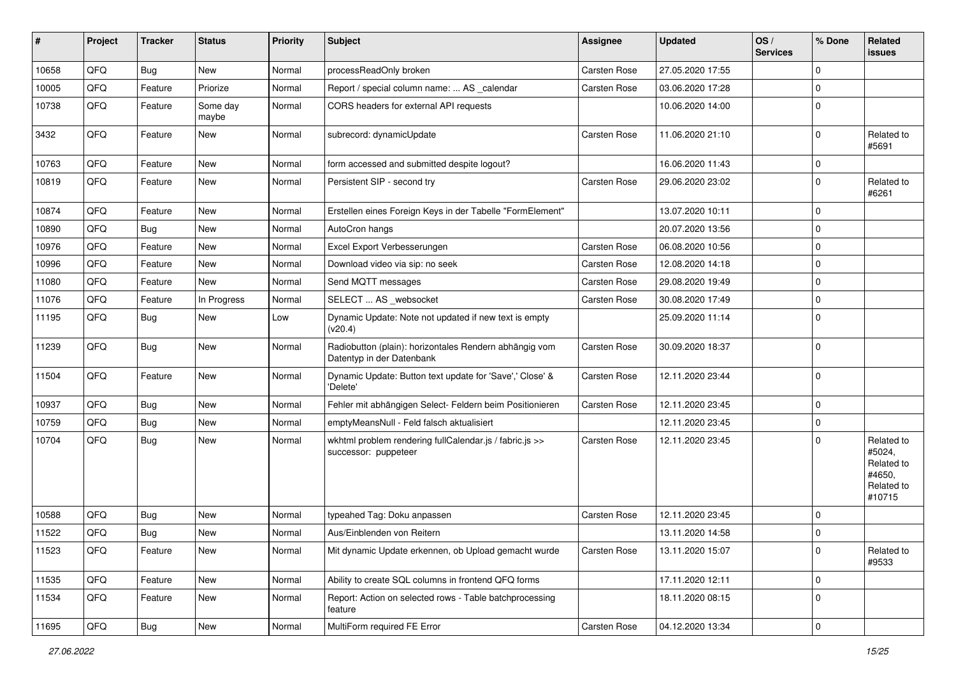| #     | Project | <b>Tracker</b> | <b>Status</b>     | <b>Priority</b> | <b>Subject</b>                                                                      | <b>Assignee</b>     | <b>Updated</b>   | OS/<br><b>Services</b> | % Done      | Related<br>issues                                                    |
|-------|---------|----------------|-------------------|-----------------|-------------------------------------------------------------------------------------|---------------------|------------------|------------------------|-------------|----------------------------------------------------------------------|
| 10658 | QFQ     | Bug            | New               | Normal          | processReadOnly broken                                                              | Carsten Rose        | 27.05.2020 17:55 |                        | 0           |                                                                      |
| 10005 | QFQ     | Feature        | Priorize          | Normal          | Report / special column name:  AS _calendar                                         | <b>Carsten Rose</b> | 03.06.2020 17:28 |                        | $\mathbf 0$ |                                                                      |
| 10738 | QFQ     | Feature        | Some day<br>maybe | Normal          | CORS headers for external API requests                                              |                     | 10.06.2020 14:00 |                        | $\mathbf 0$ |                                                                      |
| 3432  | QFQ     | Feature        | New               | Normal          | subrecord: dynamicUpdate                                                            | <b>Carsten Rose</b> | 11.06.2020 21:10 |                        | $\mathbf 0$ | Related to<br>#5691                                                  |
| 10763 | QFQ     | Feature        | <b>New</b>        | Normal          | form accessed and submitted despite logout?                                         |                     | 16.06.2020 11:43 |                        | $\mathbf 0$ |                                                                      |
| 10819 | QFQ     | Feature        | New               | Normal          | Persistent SIP - second try                                                         | <b>Carsten Rose</b> | 29.06.2020 23:02 |                        | 0           | Related to<br>#6261                                                  |
| 10874 | QFQ     | Feature        | New               | Normal          | Erstellen eines Foreign Keys in der Tabelle "FormElement"                           |                     | 13.07.2020 10:11 |                        | $\mathbf 0$ |                                                                      |
| 10890 | QFQ     | <b>Bug</b>     | New               | Normal          | AutoCron hangs                                                                      |                     | 20.07.2020 13:56 |                        | $\mathbf 0$ |                                                                      |
| 10976 | QFQ     | Feature        | New               | Normal          | Excel Export Verbesserungen                                                         | Carsten Rose        | 06.08.2020 10:56 |                        | $\mathbf 0$ |                                                                      |
| 10996 | QFQ     | Feature        | New               | Normal          | Download video via sip: no seek                                                     | <b>Carsten Rose</b> | 12.08.2020 14:18 |                        | $\mathbf 0$ |                                                                      |
| 11080 | QFQ     | Feature        | New               | Normal          | Send MQTT messages                                                                  | Carsten Rose        | 29.08.2020 19:49 |                        | $\mathbf 0$ |                                                                      |
| 11076 | QFQ     | Feature        | In Progress       | Normal          | SELECT  AS _websocket                                                               | Carsten Rose        | 30.08.2020 17:49 |                        | $\mathbf 0$ |                                                                      |
| 11195 | QFQ     | Bug            | New               | Low             | Dynamic Update: Note not updated if new text is empty<br>(v20.4)                    |                     | 25.09.2020 11:14 |                        | $\mathbf 0$ |                                                                      |
| 11239 | QFQ     | <b>Bug</b>     | New               | Normal          | Radiobutton (plain): horizontales Rendern abhängig vom<br>Datentyp in der Datenbank | Carsten Rose        | 30.09.2020 18:37 |                        | $\mathbf 0$ |                                                                      |
| 11504 | QFQ     | Feature        | New               | Normal          | Dynamic Update: Button text update for 'Save',' Close' &<br>'Delete'                | Carsten Rose        | 12.11.2020 23:44 |                        | $\mathbf 0$ |                                                                      |
| 10937 | QFQ     | Bug            | New               | Normal          | Fehler mit abhängigen Select- Feldern beim Positionieren                            | <b>Carsten Rose</b> | 12.11.2020 23:45 |                        | $\mathbf 0$ |                                                                      |
| 10759 | QFQ     | <b>Bug</b>     | New               | Normal          | emptyMeansNull - Feld falsch aktualisiert                                           |                     | 12.11.2020 23:45 |                        | $\mathbf 0$ |                                                                      |
| 10704 | QFQ     | Bug            | New               | Normal          | wkhtml problem rendering fullCalendar.js / fabric.js >><br>successor: puppeteer     | <b>Carsten Rose</b> | 12.11.2020 23:45 |                        | $\mathbf 0$ | Related to<br>#5024,<br>Related to<br>#4650,<br>Related to<br>#10715 |
| 10588 | QFQ     | <b>Bug</b>     | New               | Normal          | typeahed Tag: Doku anpassen                                                         | Carsten Rose        | 12.11.2020 23:45 |                        | $\mathbf 0$ |                                                                      |
| 11522 | QFQ     | <b>Bug</b>     | New               | Normal          | Aus/Einblenden von Reitern                                                          |                     | 13.11.2020 14:58 |                        | 0           |                                                                      |
| 11523 | QFQ     | Feature        | New               | Normal          | Mit dynamic Update erkennen, ob Upload gemacht wurde                                | Carsten Rose        | 13.11.2020 15:07 |                        | $\mathbf 0$ | Related to<br>#9533                                                  |
| 11535 | QFQ     | Feature        | New               | Normal          | Ability to create SQL columns in frontend QFQ forms                                 |                     | 17.11.2020 12:11 |                        | 0           |                                                                      |
| 11534 | QFQ     | Feature        | New               | Normal          | Report: Action on selected rows - Table batchprocessing<br>feature                  |                     | 18.11.2020 08:15 |                        | $\mathbf 0$ |                                                                      |
| 11695 | QFQ     | <b>Bug</b>     | New               | Normal          | MultiForm required FE Error                                                         | Carsten Rose        | 04.12.2020 13:34 |                        | $\mathbf 0$ |                                                                      |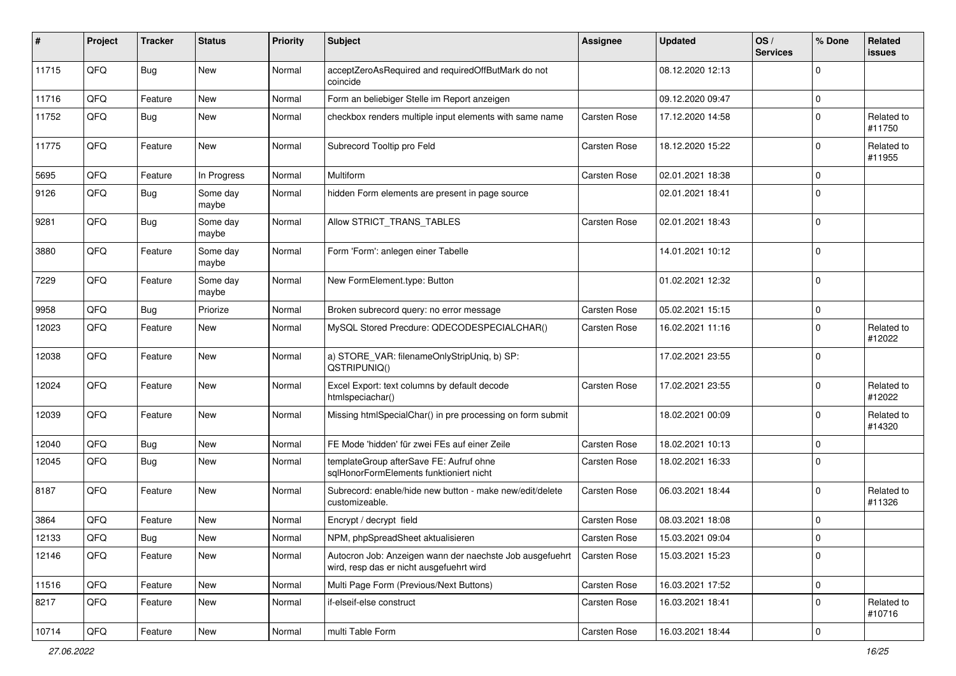| ∦     | Project | <b>Tracker</b> | <b>Status</b>     | <b>Priority</b> | Subject                                                                                              | <b>Assignee</b> | <b>Updated</b>   | OS/<br><b>Services</b> | % Done      | Related<br>issues    |
|-------|---------|----------------|-------------------|-----------------|------------------------------------------------------------------------------------------------------|-----------------|------------------|------------------------|-------------|----------------------|
| 11715 | QFQ     | Bug            | <b>New</b>        | Normal          | acceptZeroAsRequired and requiredOffButMark do not<br>coincide                                       |                 | 08.12.2020 12:13 |                        | $\Omega$    |                      |
| 11716 | QFQ     | Feature        | New               | Normal          | Form an beliebiger Stelle im Report anzeigen                                                         |                 | 09.12.2020 09:47 |                        | $\mathbf 0$ |                      |
| 11752 | QFQ     | Bug            | New               | Normal          | checkbox renders multiple input elements with same name                                              | Carsten Rose    | 17.12.2020 14:58 |                        | $\Omega$    | Related to<br>#11750 |
| 11775 | QFQ     | Feature        | New               | Normal          | Subrecord Tooltip pro Feld                                                                           | Carsten Rose    | 18.12.2020 15:22 |                        | $\Omega$    | Related to<br>#11955 |
| 5695  | QFQ     | Feature        | In Progress       | Normal          | Multiform                                                                                            | Carsten Rose    | 02.01.2021 18:38 |                        | $\Omega$    |                      |
| 9126  | QFQ     | Bug            | Some day<br>maybe | Normal          | hidden Form elements are present in page source                                                      |                 | 02.01.2021 18:41 |                        | $\Omega$    |                      |
| 9281  | QFQ     | <b>Bug</b>     | Some day<br>maybe | Normal          | Allow STRICT_TRANS_TABLES                                                                            | Carsten Rose    | 02.01.2021 18:43 |                        | $\Omega$    |                      |
| 3880  | QFQ     | Feature        | Some day<br>maybe | Normal          | Form 'Form': anlegen einer Tabelle                                                                   |                 | 14.01.2021 10:12 |                        | $\Omega$    |                      |
| 7229  | QFQ     | Feature        | Some day<br>maybe | Normal          | New FormElement.type: Button                                                                         |                 | 01.02.2021 12:32 |                        | $\Omega$    |                      |
| 9958  | QFQ     | Bug            | Priorize          | Normal          | Broken subrecord query: no error message                                                             | Carsten Rose    | 05.02.2021 15:15 |                        | 0           |                      |
| 12023 | QFQ     | Feature        | New               | Normal          | MySQL Stored Precdure: QDECODESPECIALCHAR()                                                          | Carsten Rose    | 16.02.2021 11:16 |                        | $\Omega$    | Related to<br>#12022 |
| 12038 | QFQ     | Feature        | New               | Normal          | a) STORE_VAR: filenameOnlyStripUniq, b) SP:<br>QSTRIPUNIQ()                                          |                 | 17.02.2021 23:55 |                        | $\mathbf 0$ |                      |
| 12024 | QFQ     | Feature        | New               | Normal          | Excel Export: text columns by default decode<br>htmlspeciachar()                                     | Carsten Rose    | 17.02.2021 23:55 |                        | $\Omega$    | Related to<br>#12022 |
| 12039 | QFQ     | Feature        | New               | Normal          | Missing htmlSpecialChar() in pre processing on form submit                                           |                 | 18.02.2021 00:09 |                        | $\Omega$    | Related to<br>#14320 |
| 12040 | QFQ     | Bug            | New               | Normal          | FE Mode 'hidden' für zwei FEs auf einer Zeile                                                        | Carsten Rose    | 18.02.2021 10:13 |                        | $\Omega$    |                      |
| 12045 | QFQ     | Bug            | New               | Normal          | templateGroup afterSave FE: Aufruf ohne<br>sqlHonorFormElements funktioniert nicht                   | Carsten Rose    | 18.02.2021 16:33 |                        | $\Omega$    |                      |
| 8187  | QFQ     | Feature        | New               | Normal          | Subrecord: enable/hide new button - make new/edit/delete<br>customizeable.                           | Carsten Rose    | 06.03.2021 18:44 |                        | $\Omega$    | Related to<br>#11326 |
| 3864  | QFQ     | Feature        | New               | Normal          | Encrypt / decrypt field                                                                              | Carsten Rose    | 08.03.2021 18:08 |                        | $\mathbf 0$ |                      |
| 12133 | QFQ     | Bug            | New               | Normal          | NPM, phpSpreadSheet aktualisieren                                                                    | Carsten Rose    | 15.03.2021 09:04 |                        | I٥          |                      |
| 12146 | QFQ     | Feature        | New               | Normal          | Autocron Job: Anzeigen wann der naechste Job ausgefuehrt<br>wird, resp das er nicht ausgefuehrt wird | Carsten Rose    | 15.03.2021 15:23 |                        | 0           |                      |
| 11516 | QFQ     | Feature        | New               | Normal          | Multi Page Form (Previous/Next Buttons)                                                              | Carsten Rose    | 16.03.2021 17:52 |                        | 0           |                      |
| 8217  | QFQ     | Feature        | New               | Normal          | if-elseif-else construct                                                                             | Carsten Rose    | 16.03.2021 18:41 |                        | $\mathbf 0$ | Related to<br>#10716 |
| 10714 | QFG     | Feature        | New               | Normal          | multi Table Form                                                                                     | Carsten Rose    | 16.03.2021 18:44 |                        | $\mathbf 0$ |                      |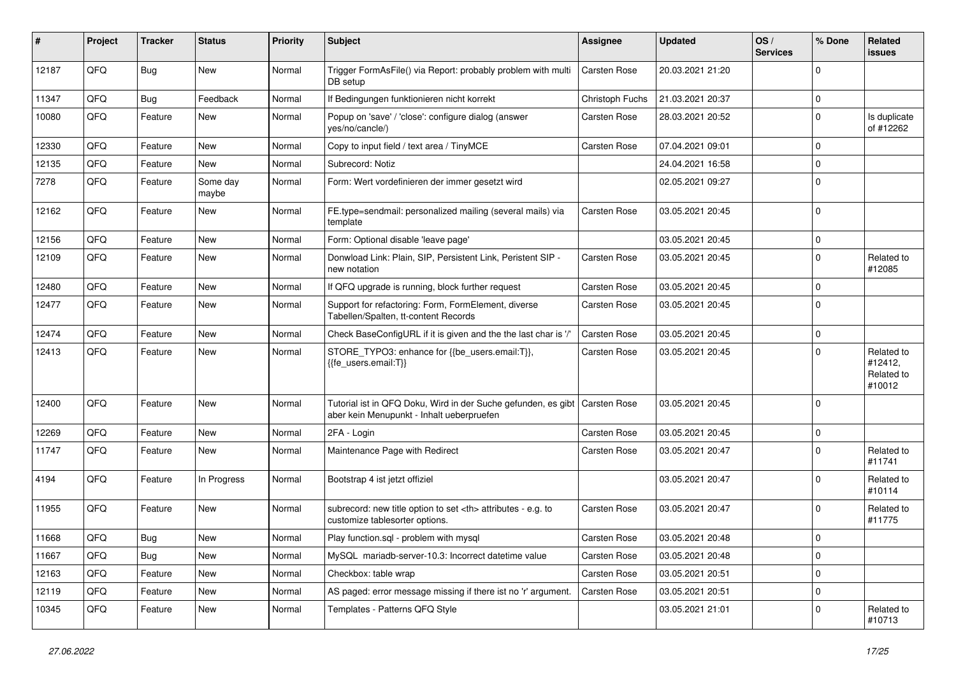| #     | Project | <b>Tracker</b> | <b>Status</b>     | <b>Priority</b> | Subject                                                                                                    | Assignee                                               | <b>Updated</b>   | OS/<br><b>Services</b> | % Done      | Related<br>issues                             |                      |
|-------|---------|----------------|-------------------|-----------------|------------------------------------------------------------------------------------------------------------|--------------------------------------------------------|------------------|------------------------|-------------|-----------------------------------------------|----------------------|
| 12187 | QFQ     | <b>Bug</b>     | New               | Normal          | Trigger FormAsFile() via Report: probably problem with multi<br>DB setup                                   | Carsten Rose                                           | 20.03.2021 21:20 |                        | $\Omega$    |                                               |                      |
| 11347 | QFQ     | <b>Bug</b>     | Feedback          | Normal          | If Bedingungen funktionieren nicht korrekt                                                                 | Christoph Fuchs                                        | 21.03.2021 20:37 |                        | $\mathbf 0$ |                                               |                      |
| 10080 | QFQ     | Feature        | New               | Normal          | Popup on 'save' / 'close': configure dialog (answer<br>yes/no/cancle/)                                     | Carsten Rose                                           | 28.03.2021 20:52 |                        | $\Omega$    | Is duplicate<br>of #12262                     |                      |
| 12330 | QFQ     | Feature        | New               | Normal          | Copy to input field / text area / TinyMCE                                                                  | Carsten Rose                                           | 07.04.2021 09:01 |                        | $\Omega$    |                                               |                      |
| 12135 | QFQ     | Feature        | New               | Normal          | Subrecord: Notiz                                                                                           |                                                        | 24.04.2021 16:58 |                        | $\Omega$    |                                               |                      |
| 7278  | QFQ     | Feature        | Some day<br>maybe | Normal          | Form: Wert vordefinieren der immer gesetzt wird                                                            |                                                        | 02.05.2021 09:27 |                        | $\Omega$    |                                               |                      |
| 12162 | QFQ     | Feature        | New               | Normal          | FE.type=sendmail: personalized mailing (several mails) via<br>template                                     | Carsten Rose                                           | 03.05.2021 20:45 |                        | $\Omega$    |                                               |                      |
| 12156 | QFQ     | Feature        | New               | Normal          | Form: Optional disable 'leave page'                                                                        |                                                        | 03.05.2021 20:45 |                        | $\mathbf 0$ |                                               |                      |
| 12109 | QFQ     | Feature        | New               | Normal          | Donwload Link: Plain, SIP, Persistent Link, Peristent SIP -<br>new notation                                | Carsten Rose                                           | 03.05.2021 20:45 |                        | $\Omega$    | Related to<br>#12085                          |                      |
| 12480 | QFQ     | Feature        | New               | Normal          | If QFQ upgrade is running, block further request                                                           | <b>Carsten Rose</b>                                    | 03.05.2021 20:45 |                        | $\Omega$    |                                               |                      |
| 12477 | QFQ     | Feature        | New               | Normal          | Support for refactoring: Form, FormElement, diverse<br>Tabellen/Spalten, tt-content Records                | Carsten Rose                                           | 03.05.2021 20:45 |                        | $\Omega$    |                                               |                      |
| 12474 | QFQ     | Feature        | New               | Normal          | Check BaseConfigURL if it is given and the the last char is '/                                             | Carsten Rose                                           | 03.05.2021 20:45 |                        | $\mathbf 0$ |                                               |                      |
| 12413 | QFQ     | Feature        | New               | Normal          | STORE_TYPO3: enhance for {{be_users.email:T}},<br>{{fe_users.email:T}}                                     | Carsten Rose                                           | 03.05.2021 20:45 |                        | $\Omega$    | Related to<br>#12412,<br>Related to<br>#10012 |                      |
| 12400 | QFQ     | Feature        | New               | Normal          | Tutorial ist in QFQ Doku, Wird in der Suche gefunden, es gibt<br>aber kein Menupunkt - Inhalt ueberpruefen | <b>Carsten Rose</b>                                    | 03.05.2021 20:45 |                        | $\Omega$    |                                               |                      |
| 12269 | QFQ     | Feature        | New               | Normal          | 2FA - Login                                                                                                | <b>Carsten Rose</b>                                    | 03.05.2021 20:45 |                        | $\mathbf 0$ |                                               |                      |
| 11747 | QFQ     | Feature        | New               | Normal          | Maintenance Page with Redirect                                                                             | Carsten Rose                                           | 03.05.2021 20:47 |                        | $\Omega$    | Related to<br>#11741                          |                      |
| 4194  | QFQ     | Feature        | In Progress       | Normal          | Bootstrap 4 ist jetzt offiziel                                                                             |                                                        | 03.05.2021 20:47 |                        | $\mathbf 0$ | Related to<br>#10114                          |                      |
| 11955 | QFQ     | Feature        | New               | Normal          | subrecord: new title option to set <th> attributes - e.g. to<br/>customize tablesorter options.</th>       | attributes - e.g. to<br>customize tablesorter options. | Carsten Rose     | 03.05.2021 20:47       |             | $\Omega$                                      | Related to<br>#11775 |
| 11668 | QFQ     | Bug            | New               | Normal          | Play function.sql - problem with mysql                                                                     | Carsten Rose                                           | 03.05.2021 20:48 |                        | ۱n          |                                               |                      |
| 11667 | QFQ     | <b>Bug</b>     | New               | Normal          | MySQL mariadb-server-10.3: Incorrect datetime value                                                        | Carsten Rose                                           | 03.05.2021 20:48 |                        | l o         |                                               |                      |
| 12163 | QFQ     | Feature        | New               | Normal          | Checkbox: table wrap                                                                                       | Carsten Rose                                           | 03.05.2021 20:51 |                        | $\mathbf 0$ |                                               |                      |
| 12119 | QFQ     | Feature        | New               | Normal          | AS paged: error message missing if there ist no 'r' argument.                                              | Carsten Rose                                           | 03.05.2021 20:51 |                        | $\mathbf 0$ |                                               |                      |
| 10345 | QFQ     | Feature        | New               | Normal          | Templates - Patterns QFQ Style                                                                             |                                                        | 03.05.2021 21:01 |                        | 0           | Related to<br>#10713                          |                      |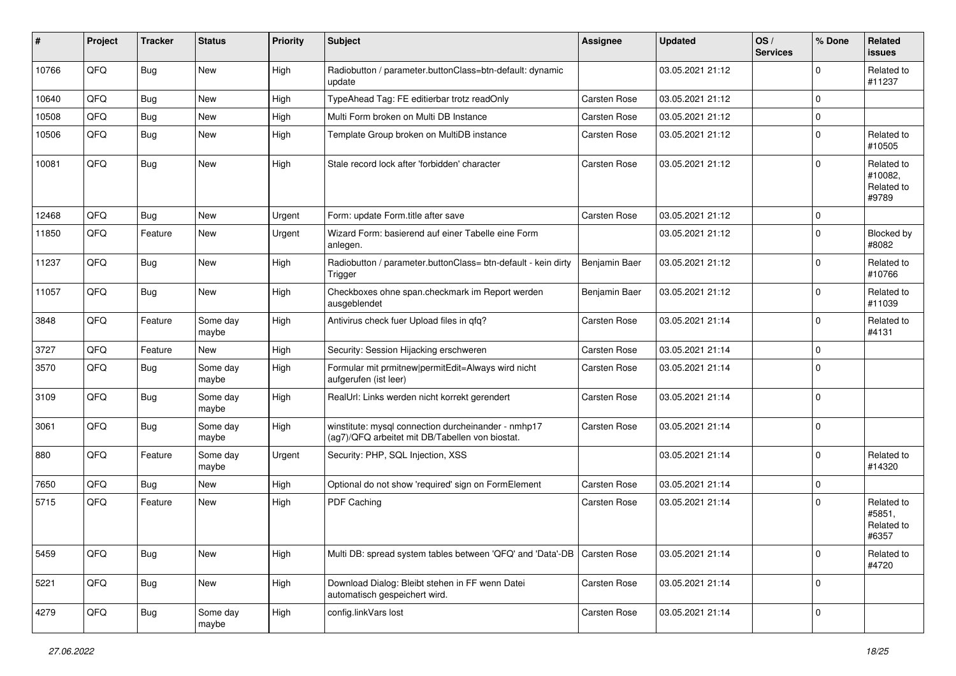| #     | Project | <b>Tracker</b> | <b>Status</b>     | <b>Priority</b> | <b>Subject</b>                                                                                         | <b>Assignee</b>     | <b>Updated</b>   | OS/<br><b>Services</b> | % Done      | Related<br><b>issues</b>                     |
|-------|---------|----------------|-------------------|-----------------|--------------------------------------------------------------------------------------------------------|---------------------|------------------|------------------------|-------------|----------------------------------------------|
| 10766 | QFQ     | Bug            | New               | High            | Radiobutton / parameter.buttonClass=btn-default: dynamic<br>update                                     |                     | 03.05.2021 21:12 |                        | $\Omega$    | Related to<br>#11237                         |
| 10640 | QFQ     | <b>Bug</b>     | New               | High            | TypeAhead Tag: FE editierbar trotz readOnly                                                            | <b>Carsten Rose</b> | 03.05.2021 21:12 |                        | $\Omega$    |                                              |
| 10508 | QFQ     | <b>Bug</b>     | New               | High            | Multi Form broken on Multi DB Instance                                                                 | <b>Carsten Rose</b> | 03.05.2021 21:12 |                        | $\Omega$    |                                              |
| 10506 | QFQ     | <b>Bug</b>     | New               | High            | Template Group broken on MultiDB instance                                                              | <b>Carsten Rose</b> | 03.05.2021 21:12 |                        | $\Omega$    | Related to<br>#10505                         |
| 10081 | QFQ     | <b>Bug</b>     | New               | High            | Stale record lock after 'forbidden' character                                                          | <b>Carsten Rose</b> | 03.05.2021 21:12 |                        | $\Omega$    | Related to<br>#10082,<br>Related to<br>#9789 |
| 12468 | QFQ     | <b>Bug</b>     | <b>New</b>        | Urgent          | Form: update Form.title after save                                                                     | <b>Carsten Rose</b> | 03.05.2021 21:12 |                        | $\Omega$    |                                              |
| 11850 | QFQ     | Feature        | New               | Urgent          | Wizard Form: basierend auf einer Tabelle eine Form<br>anlegen.                                         |                     | 03.05.2021 21:12 |                        | $\Omega$    | Blocked by<br>#8082                          |
| 11237 | QFQ     | Bug            | New               | High            | Radiobutton / parameter.buttonClass= btn-default - kein dirty<br>Trigger                               | Benjamin Baer       | 03.05.2021 21:12 |                        | $\Omega$    | Related to<br>#10766                         |
| 11057 | QFQ     | <b>Bug</b>     | New               | High            | Checkboxes ohne span.checkmark im Report werden<br>ausgeblendet                                        | Benjamin Baer       | 03.05.2021 21:12 |                        | $\Omega$    | Related to<br>#11039                         |
| 3848  | QFQ     | Feature        | Some day<br>maybe | High            | Antivirus check fuer Upload files in qfq?                                                              | Carsten Rose        | 03.05.2021 21:14 |                        | $\Omega$    | Related to<br>#4131                          |
| 3727  | QFQ     | Feature        | New               | High            | Security: Session Hijacking erschweren                                                                 | <b>Carsten Rose</b> | 03.05.2021 21:14 |                        | $\mathbf 0$ |                                              |
| 3570  | QFQ     | Bug            | Some day<br>maybe | High            | Formular mit prmitnew permitEdit=Always wird nicht<br>aufgerufen (ist leer)                            | <b>Carsten Rose</b> | 03.05.2021 21:14 |                        | l 0         |                                              |
| 3109  | QFQ     | <b>Bug</b>     | Some day<br>maybe | High            | RealUrl: Links werden nicht korrekt gerendert                                                          | <b>Carsten Rose</b> | 03.05.2021 21:14 |                        | $\mathbf 0$ |                                              |
| 3061  | QFQ     | <b>Bug</b>     | Some day<br>maybe | High            | winstitute: mysql connection durcheinander - nmhp17<br>(ag7)/QFQ arbeitet mit DB/Tabellen von biostat. | <b>Carsten Rose</b> | 03.05.2021 21:14 |                        | l 0         |                                              |
| 880   | QFQ     | Feature        | Some day<br>maybe | Urgent          | Security: PHP, SQL Injection, XSS                                                                      |                     | 03.05.2021 21:14 |                        | $\Omega$    | Related to<br>#14320                         |
| 7650  | QFQ     | <b>Bug</b>     | New               | High            | Optional do not show 'required' sign on FormElement                                                    | <b>Carsten Rose</b> | 03.05.2021 21:14 |                        | $\mathbf 0$ |                                              |
| 5715  | QFQ     | Feature        | New               | High            | PDF Caching                                                                                            | <b>Carsten Rose</b> | 03.05.2021 21:14 |                        | $\Omega$    | Related to<br>#5851,<br>Related to<br>#6357  |
| 5459  | QFQ     | <b>Bug</b>     | New               | High            | Multi DB: spread system tables between 'QFQ' and 'Data'-DB   Carsten Rose                              |                     | 03.05.2021 21:14 |                        | $\mathbf 0$ | Related to<br>#4720                          |
| 5221  | QFQ     | Bug            | New               | High            | Download Dialog: Bleibt stehen in FF wenn Datei<br>automatisch gespeichert wird.                       | Carsten Rose        | 03.05.2021 21:14 |                        | $\mathbf 0$ |                                              |
| 4279  | QFQ     | <b>Bug</b>     | Some day<br>maybe | High            | config.linkVars lost                                                                                   | Carsten Rose        | 03.05.2021 21:14 |                        | 0           |                                              |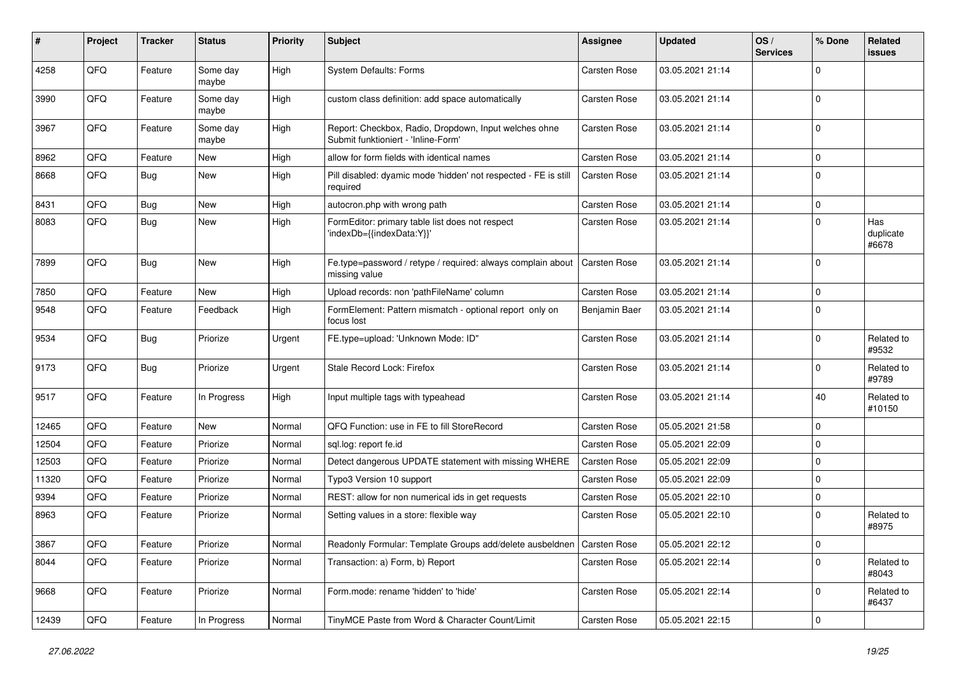| ∦     | Project | <b>Tracker</b> | <b>Status</b>     | <b>Priority</b> | <b>Subject</b>                                                                               | <b>Assignee</b>     | <b>Updated</b>   | OS/<br><b>Services</b> | % Done      | Related<br>issues         |
|-------|---------|----------------|-------------------|-----------------|----------------------------------------------------------------------------------------------|---------------------|------------------|------------------------|-------------|---------------------------|
| 4258  | QFQ     | Feature        | Some day<br>maybe | High            | System Defaults: Forms                                                                       | Carsten Rose        | 03.05.2021 21:14 |                        | $\Omega$    |                           |
| 3990  | QFQ     | Feature        | Some day<br>maybe | High            | custom class definition: add space automatically                                             | Carsten Rose        | 03.05.2021 21:14 |                        | $\Omega$    |                           |
| 3967  | QFQ     | Feature        | Some day<br>maybe | High            | Report: Checkbox, Radio, Dropdown, Input welches ohne<br>Submit funktioniert - 'Inline-Form' | Carsten Rose        | 03.05.2021 21:14 |                        | $\Omega$    |                           |
| 8962  | QFQ     | Feature        | New               | High            | allow for form fields with identical names                                                   | Carsten Rose        | 03.05.2021 21:14 |                        | $\mathbf 0$ |                           |
| 8668  | QFQ     | Bug            | New               | High            | Pill disabled: dyamic mode 'hidden' not respected - FE is still<br>required                  | Carsten Rose        | 03.05.2021 21:14 |                        | $\Omega$    |                           |
| 8431  | QFQ     | Bug            | New               | High            | autocron.php with wrong path                                                                 | Carsten Rose        | 03.05.2021 21:14 |                        | 0           |                           |
| 8083  | QFQ     | <b>Bug</b>     | New               | High            | FormEditor: primary table list does not respect<br>'indexDb={{indexData:Y}}'                 | Carsten Rose        | 03.05.2021 21:14 |                        | $\Omega$    | Has<br>duplicate<br>#6678 |
| 7899  | QFQ     | <b>Bug</b>     | New               | High            | Fe.type=password / retype / required: always complain about<br>missing value                 | <b>Carsten Rose</b> | 03.05.2021 21:14 |                        | $\mathbf 0$ |                           |
| 7850  | QFQ     | Feature        | <b>New</b>        | High            | Upload records: non 'pathFileName' column                                                    | Carsten Rose        | 03.05.2021 21:14 |                        | $\mathbf 0$ |                           |
| 9548  | QFQ     | Feature        | Feedback          | High            | FormElement: Pattern mismatch - optional report only on<br>focus lost                        | Benjamin Baer       | 03.05.2021 21:14 |                        | $\Omega$    |                           |
| 9534  | QFQ     | Bug            | Priorize          | Urgent          | FE.type=upload: 'Unknown Mode: ID"                                                           | Carsten Rose        | 03.05.2021 21:14 |                        | $\Omega$    | Related to<br>#9532       |
| 9173  | QFQ     | <b>Bug</b>     | Priorize          | Urgent          | Stale Record Lock: Firefox                                                                   | Carsten Rose        | 03.05.2021 21:14 |                        | $\Omega$    | Related to<br>#9789       |
| 9517  | QFQ     | Feature        | In Progress       | High            | Input multiple tags with typeahead                                                           | Carsten Rose        | 03.05.2021 21:14 |                        | 40          | Related to<br>#10150      |
| 12465 | QFQ     | Feature        | New               | Normal          | QFQ Function: use in FE to fill StoreRecord                                                  | <b>Carsten Rose</b> | 05.05.2021 21:58 |                        | $\mathbf 0$ |                           |
| 12504 | QFQ     | Feature        | Priorize          | Normal          | sql.log: report fe.id                                                                        | Carsten Rose        | 05.05.2021 22:09 |                        | $\Omega$    |                           |
| 12503 | QFQ     | Feature        | Priorize          | Normal          | Detect dangerous UPDATE statement with missing WHERE                                         | Carsten Rose        | 05.05.2021 22:09 |                        | $\Omega$    |                           |
| 11320 | QFQ     | Feature        | Priorize          | Normal          | Typo3 Version 10 support                                                                     | Carsten Rose        | 05.05.2021 22:09 |                        | $\Omega$    |                           |
| 9394  | QFQ     | Feature        | Priorize          | Normal          | REST: allow for non numerical ids in get requests                                            | Carsten Rose        | 05.05.2021 22:10 |                        | $\mathbf 0$ |                           |
| 8963  | QFQ     | Feature        | Priorize          | Normal          | Setting values in a store: flexible way                                                      | Carsten Rose        | 05.05.2021 22:10 |                        | $\Omega$    | Related to<br>#8975       |
| 3867  | QFQ     | Feature        | Priorize          | Normal          | Readonly Formular: Template Groups add/delete ausbeldnen   Carsten Rose                      |                     | 05.05.2021 22:12 |                        | l 0         |                           |
| 8044  | QFQ     | Feature        | Priorize          | Normal          | Transaction: a) Form, b) Report                                                              | Carsten Rose        | 05.05.2021 22:14 |                        | $\mathbf 0$ | Related to<br>#8043       |
| 9668  | QFQ     | Feature        | Priorize          | Normal          | Form.mode: rename 'hidden' to 'hide'                                                         | Carsten Rose        | 05.05.2021 22:14 |                        | 0           | Related to<br>#6437       |
| 12439 | QFG     | Feature        | In Progress       | Normal          | TinyMCE Paste from Word & Character Count/Limit                                              | Carsten Rose        | 05.05.2021 22:15 |                        | 0           |                           |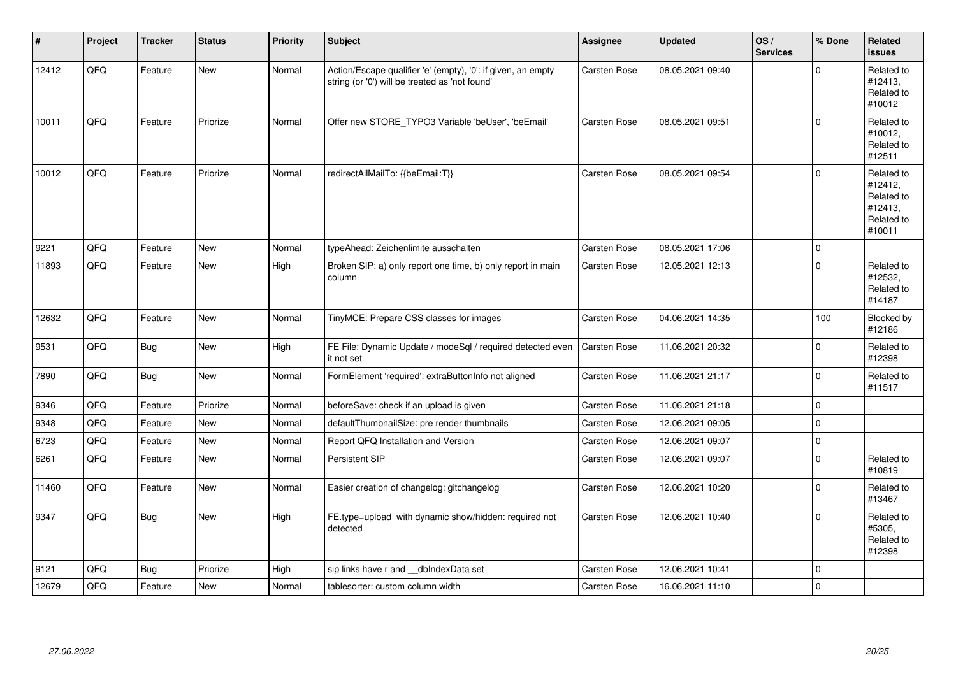| #     | Project | <b>Tracker</b> | <b>Status</b> | <b>Priority</b> | <b>Subject</b>                                                                                                 | Assignee            | <b>Updated</b>   | OS/<br><b>Services</b> | % Done      | Related<br><b>issues</b>                                               |
|-------|---------|----------------|---------------|-----------------|----------------------------------------------------------------------------------------------------------------|---------------------|------------------|------------------------|-------------|------------------------------------------------------------------------|
| 12412 | QFQ     | Feature        | New           | Normal          | Action/Escape qualifier 'e' (empty), '0': if given, an empty<br>string (or '0') will be treated as 'not found' | <b>Carsten Rose</b> | 08.05.2021 09:40 |                        | $\Omega$    | Related to<br>#12413,<br>Related to<br>#10012                          |
| 10011 | QFQ     | Feature        | Priorize      | Normal          | Offer new STORE_TYPO3 Variable 'beUser', 'beEmail'                                                             | <b>Carsten Rose</b> | 08.05.2021 09:51 |                        | $\Omega$    | Related to<br>#10012,<br>Related to<br>#12511                          |
| 10012 | QFQ     | Feature        | Priorize      | Normal          | redirectAllMailTo: {{beEmail:T}}                                                                               | <b>Carsten Rose</b> | 08.05.2021 09:54 |                        | $\mathbf 0$ | Related to<br>#12412,<br>Related to<br>#12413,<br>Related to<br>#10011 |
| 9221  | QFQ     | Feature        | <b>New</b>    | Normal          | typeAhead: Zeichenlimite ausschalten                                                                           | <b>Carsten Rose</b> | 08.05.2021 17:06 |                        | $\mathbf 0$ |                                                                        |
| 11893 | QFQ     | Feature        | New           | High            | Broken SIP: a) only report one time, b) only report in main<br>column                                          | <b>Carsten Rose</b> | 12.05.2021 12:13 |                        | $\mathbf 0$ | Related to<br>#12532,<br>Related to<br>#14187                          |
| 12632 | QFQ     | Feature        | <b>New</b>    | Normal          | TinyMCE: Prepare CSS classes for images                                                                        | <b>Carsten Rose</b> | 04.06.2021 14:35 |                        | 100         | Blocked by<br>#12186                                                   |
| 9531  | QFQ     | <b>Bug</b>     | New           | High            | FE File: Dynamic Update / modeSql / required detected even<br>it not set                                       | <b>Carsten Rose</b> | 11.06.2021 20:32 |                        | $\mathbf 0$ | Related to<br>#12398                                                   |
| 7890  | QFQ     | <b>Bug</b>     | New           | Normal          | FormElement 'required': extraButtonInfo not aligned                                                            | Carsten Rose        | 11.06.2021 21:17 |                        | $\Omega$    | Related to<br>#11517                                                   |
| 9346  | QFQ     | Feature        | Priorize      | Normal          | beforeSave: check if an upload is given                                                                        | <b>Carsten Rose</b> | 11.06.2021 21:18 |                        | $\mathbf 0$ |                                                                        |
| 9348  | QFQ     | Feature        | <b>New</b>    | Normal          | defaultThumbnailSize: pre render thumbnails                                                                    | <b>Carsten Rose</b> | 12.06.2021 09:05 |                        | $\mathbf 0$ |                                                                        |
| 6723  | QFQ     | Feature        | New           | Normal          | Report QFQ Installation and Version                                                                            | Carsten Rose        | 12.06.2021 09:07 |                        | $\mathsf 0$ |                                                                        |
| 6261  | QFQ     | Feature        | New           | Normal          | Persistent SIP                                                                                                 | Carsten Rose        | 12.06.2021 09:07 |                        | $\mathbf 0$ | Related to<br>#10819                                                   |
| 11460 | QFQ     | Feature        | New           | Normal          | Easier creation of changelog: gitchangelog                                                                     | <b>Carsten Rose</b> | 12.06.2021 10:20 |                        | $\mathbf 0$ | Related to<br>#13467                                                   |
| 9347  | QFQ     | <b>Bug</b>     | New           | High            | FE.type=upload with dynamic show/hidden: required not<br>detected                                              | <b>Carsten Rose</b> | 12.06.2021 10:40 |                        | $\mathbf 0$ | Related to<br>#5305,<br>Related to<br>#12398                           |
| 9121  | QFQ     | <b>Bug</b>     | Priorize      | High            | sip links have r and __dbIndexData set                                                                         | Carsten Rose        | 12.06.2021 10:41 |                        | $\mathbf 0$ |                                                                        |
| 12679 | QFQ     | Feature        | New           | Normal          | tablesorter: custom column width                                                                               | <b>Carsten Rose</b> | 16.06.2021 11:10 |                        | $\mathsf 0$ |                                                                        |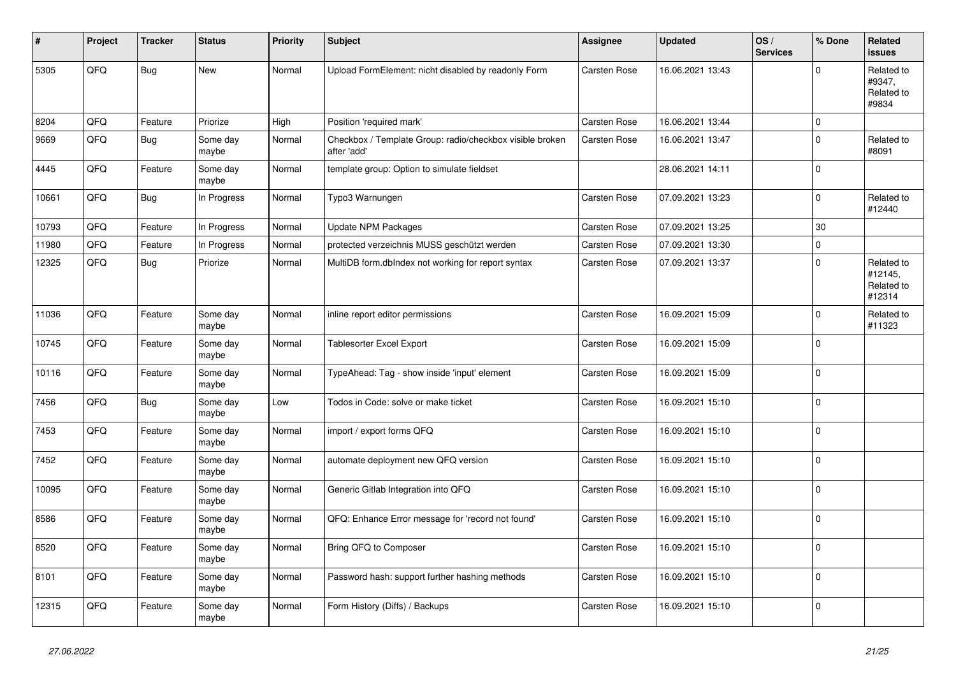| #     | Project | <b>Tracker</b> | <b>Status</b>     | <b>Priority</b> | <b>Subject</b>                                                          | Assignee            | <b>Updated</b>   | OS/<br><b>Services</b> | % Done      | Related<br>issues                             |
|-------|---------|----------------|-------------------|-----------------|-------------------------------------------------------------------------|---------------------|------------------|------------------------|-------------|-----------------------------------------------|
| 5305  | QFQ     | <b>Bug</b>     | <b>New</b>        | Normal          | Upload FormElement: nicht disabled by readonly Form                     | <b>Carsten Rose</b> | 16.06.2021 13:43 |                        | $\Omega$    | Related to<br>#9347,<br>Related to<br>#9834   |
| 8204  | QFQ     | Feature        | Priorize          | High            | Position 'required mark'                                                | Carsten Rose        | 16.06.2021 13:44 |                        | 0 I         |                                               |
| 9669  | QFQ     | Bug            | Some day<br>maybe | Normal          | Checkbox / Template Group: radio/checkbox visible broken<br>after 'add' | Carsten Rose        | 16.06.2021 13:47 |                        | $\Omega$    | Related to<br>#8091                           |
| 4445  | QFQ     | Feature        | Some day<br>maybe | Normal          | template group: Option to simulate fieldset                             |                     | 28.06.2021 14:11 |                        | 0           |                                               |
| 10661 | QFQ     | <b>Bug</b>     | In Progress       | Normal          | Typo3 Warnungen                                                         | Carsten Rose        | 07.09.2021 13:23 |                        | $\Omega$    | Related to<br>#12440                          |
| 10793 | QFQ     | Feature        | In Progress       | Normal          | <b>Update NPM Packages</b>                                              | <b>Carsten Rose</b> | 07.09.2021 13:25 |                        | 30          |                                               |
| 11980 | QFQ     | Feature        | In Progress       | Normal          | protected verzeichnis MUSS geschützt werden                             | Carsten Rose        | 07.09.2021 13:30 |                        | $\Omega$    |                                               |
| 12325 | QFQ     | Bug            | Priorize          | Normal          | MultiDB form.dblndex not working for report syntax                      | Carsten Rose        | 07.09.2021 13:37 |                        | $\Omega$    | Related to<br>#12145,<br>Related to<br>#12314 |
| 11036 | QFQ     | Feature        | Some day<br>maybe | Normal          | inline report editor permissions                                        | Carsten Rose        | 16.09.2021 15:09 |                        | $\Omega$    | Related to<br>#11323                          |
| 10745 | QFQ     | Feature        | Some day<br>maybe | Normal          | <b>Tablesorter Excel Export</b>                                         | Carsten Rose        | 16.09.2021 15:09 |                        | 0           |                                               |
| 10116 | QFQ     | Feature        | Some day<br>maybe | Normal          | TypeAhead: Tag - show inside 'input' element                            | Carsten Rose        | 16.09.2021 15:09 |                        | $\Omega$    |                                               |
| 7456  | QFQ     | <b>Bug</b>     | Some day<br>maybe | Low             | Todos in Code: solve or make ticket                                     | Carsten Rose        | 16.09.2021 15:10 |                        | $\Omega$    |                                               |
| 7453  | QFQ     | Feature        | Some day<br>maybe | Normal          | import / export forms QFQ                                               | <b>Carsten Rose</b> | 16.09.2021 15:10 |                        | 0 I         |                                               |
| 7452  | QFQ     | Feature        | Some day<br>maybe | Normal          | automate deployment new QFQ version                                     | Carsten Rose        | 16.09.2021 15:10 |                        | $\mathbf 0$ |                                               |
| 10095 | QFQ     | Feature        | Some day<br>maybe | Normal          | Generic Gitlab Integration into QFQ                                     | Carsten Rose        | 16.09.2021 15:10 |                        | 0 I         |                                               |
| 8586  | QFQ     | Feature        | Some day<br>maybe | Normal          | QFQ: Enhance Error message for 'record not found'                       | <b>Carsten Rose</b> | 16.09.2021 15:10 |                        | $\Omega$    |                                               |
| 8520  | QFQ     | Feature        | Some day<br>maybe | Normal          | Bring QFQ to Composer                                                   | <b>Carsten Rose</b> | 16.09.2021 15:10 |                        | $\Omega$    |                                               |
| 8101  | QFQ     | Feature        | Some day<br>maybe | Normal          | Password hash: support further hashing methods                          | Carsten Rose        | 16.09.2021 15:10 |                        | $\Omega$    |                                               |
| 12315 | QFQ     | Feature        | Some day<br>maybe | Normal          | Form History (Diffs) / Backups                                          | Carsten Rose        | 16.09.2021 15:10 |                        | $\Omega$    |                                               |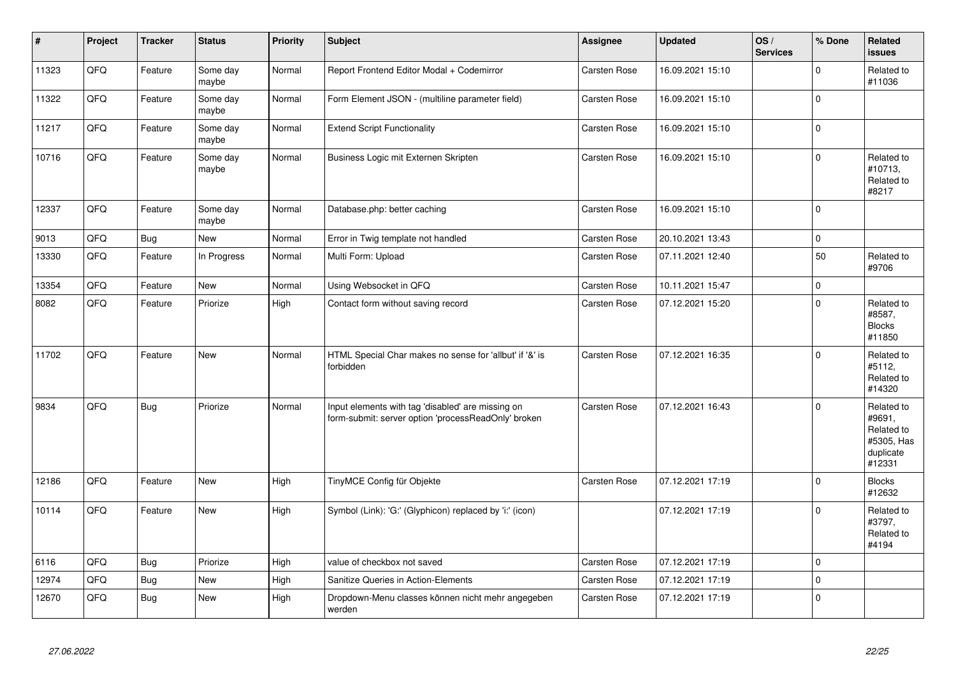| #     | Project | <b>Tracker</b> | <b>Status</b>     | <b>Priority</b> | <b>Subject</b>                                                                                           | Assignee            | <b>Updated</b>   | OS/<br><b>Services</b> | % Done   | Related<br><b>issues</b>                                                |
|-------|---------|----------------|-------------------|-----------------|----------------------------------------------------------------------------------------------------------|---------------------|------------------|------------------------|----------|-------------------------------------------------------------------------|
| 11323 | QFQ     | Feature        | Some day<br>maybe | Normal          | Report Frontend Editor Modal + Codemirror                                                                | <b>Carsten Rose</b> | 16.09.2021 15:10 |                        | $\Omega$ | Related to<br>#11036                                                    |
| 11322 | QFQ     | Feature        | Some day<br>maybe | Normal          | Form Element JSON - (multiline parameter field)                                                          | Carsten Rose        | 16.09.2021 15:10 |                        | $\Omega$ |                                                                         |
| 11217 | QFQ     | Feature        | Some day<br>maybe | Normal          | <b>Extend Script Functionality</b>                                                                       | <b>Carsten Rose</b> | 16.09.2021 15:10 |                        | $\Omega$ |                                                                         |
| 10716 | QFQ     | Feature        | Some day<br>maybe | Normal          | Business Logic mit Externen Skripten                                                                     | Carsten Rose        | 16.09.2021 15:10 |                        | $\Omega$ | Related to<br>#10713,<br>Related to<br>#8217                            |
| 12337 | QFQ     | Feature        | Some day<br>maybe | Normal          | Database.php: better caching                                                                             | <b>Carsten Rose</b> | 16.09.2021 15:10 |                        | $\Omega$ |                                                                         |
| 9013  | QFQ     | <b>Bug</b>     | New               | Normal          | Error in Twig template not handled                                                                       | <b>Carsten Rose</b> | 20.10.2021 13:43 |                        | $\Omega$ |                                                                         |
| 13330 | QFQ     | Feature        | In Progress       | Normal          | Multi Form: Upload                                                                                       | Carsten Rose        | 07.11.2021 12:40 |                        | 50       | Related to<br>#9706                                                     |
| 13354 | QFQ     | Feature        | <b>New</b>        | Normal          | Using Websocket in QFQ                                                                                   | <b>Carsten Rose</b> | 10.11.2021 15:47 |                        | $\Omega$ |                                                                         |
| 8082  | QFQ     | Feature        | Priorize          | High            | Contact form without saving record                                                                       | Carsten Rose        | 07.12.2021 15:20 |                        | $\Omega$ | Related to<br>#8587,<br><b>Blocks</b><br>#11850                         |
| 11702 | QFQ     | Feature        | New               | Normal          | HTML Special Char makes no sense for 'allbut' if '&' is<br>forbidden                                     | Carsten Rose        | 07.12.2021 16:35 |                        | $\Omega$ | Related to<br>#5112,<br>Related to<br>#14320                            |
| 9834  | QFQ     | <b>Bug</b>     | Priorize          | Normal          | Input elements with tag 'disabled' are missing on<br>form-submit: server option 'processReadOnly' broken | <b>Carsten Rose</b> | 07.12.2021 16:43 |                        | $\Omega$ | Related to<br>#9691,<br>Related to<br>#5305, Has<br>duplicate<br>#12331 |
| 12186 | QFQ     | Feature        | <b>New</b>        | High            | TinyMCE Config für Objekte                                                                               | Carsten Rose        | 07.12.2021 17:19 |                        | $\Omega$ | <b>Blocks</b><br>#12632                                                 |
| 10114 | QFQ     | Feature        | New               | High            | Symbol (Link): 'G:' (Glyphicon) replaced by 'i:' (icon)                                                  |                     | 07.12.2021 17:19 |                        | 0        | Related to<br>#3797,<br>Related to<br>#4194                             |
| 6116  | QFQ     | <b>Bug</b>     | Priorize          | High            | value of checkbox not saved                                                                              | <b>Carsten Rose</b> | 07.12.2021 17:19 |                        | 0        |                                                                         |
| 12974 | QFQ     | <b>Bug</b>     | <b>New</b>        | High            | Sanitize Queries in Action-Elements                                                                      | Carsten Rose        | 07.12.2021 17:19 |                        | $\Omega$ |                                                                         |
| 12670 | QFQ     | Bug            | New               | High            | Dropdown-Menu classes können nicht mehr angegeben<br>werden                                              | Carsten Rose        | 07.12.2021 17:19 |                        | $\Omega$ |                                                                         |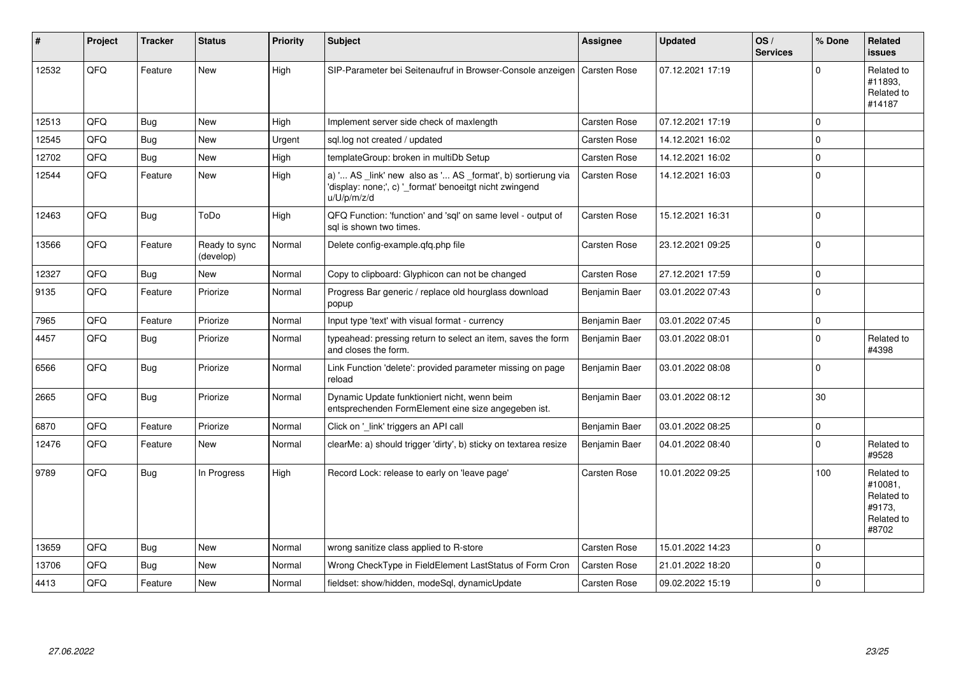| #     | Project | <b>Tracker</b> | <b>Status</b>              | <b>Priority</b> | <b>Subject</b>                                                                                                                        | Assignee            | <b>Updated</b>   | OS/<br><b>Services</b> | % Done      | Related<br><b>issues</b>                                             |
|-------|---------|----------------|----------------------------|-----------------|---------------------------------------------------------------------------------------------------------------------------------------|---------------------|------------------|------------------------|-------------|----------------------------------------------------------------------|
| 12532 | QFQ     | Feature        | <b>New</b>                 | High            | SIP-Parameter bei Seitenaufruf in Browser-Console anzeigen                                                                            | Carsten Rose        | 07.12.2021 17:19 |                        | $\Omega$    | Related to<br>#11893,<br>Related to<br>#14187                        |
| 12513 | QFQ     | <b>Bug</b>     | <b>New</b>                 | High            | Implement server side check of maxlength                                                                                              | Carsten Rose        | 07.12.2021 17:19 |                        | $\Omega$    |                                                                      |
| 12545 | QFQ     | <b>Bug</b>     | New                        | Urgent          | sql.log not created / updated                                                                                                         | Carsten Rose        | 14.12.2021 16:02 |                        | $\Omega$    |                                                                      |
| 12702 | QFQ     | Bug            | <b>New</b>                 | High            | templateGroup: broken in multiDb Setup                                                                                                | Carsten Rose        | 14.12.2021 16:02 |                        | $\Omega$    |                                                                      |
| 12544 | QFQ     | Feature        | New                        | High            | a) ' AS _link' new also as ' AS _format', b) sortierung via<br>'display: none;', c) ' format' benoeitgt nicht zwingend<br>u/U/p/m/z/d | <b>Carsten Rose</b> | 14.12.2021 16:03 |                        | $\Omega$    |                                                                      |
| 12463 | QFQ     | Bug            | ToDo                       | High            | QFQ Function: 'function' and 'sql' on same level - output of<br>sal is shown two times.                                               | <b>Carsten Rose</b> | 15.12.2021 16:31 |                        | $\Omega$    |                                                                      |
| 13566 | QFQ     | Feature        | Ready to sync<br>(develop) | Normal          | Delete config-example.gfg.php file                                                                                                    | Carsten Rose        | 23.12.2021 09:25 |                        | $\Omega$    |                                                                      |
| 12327 | QFQ     | <b>Bug</b>     | <b>New</b>                 | Normal          | Copy to clipboard: Glyphicon can not be changed                                                                                       | Carsten Rose        | 27.12.2021 17:59 |                        | $\mathbf 0$ |                                                                      |
| 9135  | QFQ     | Feature        | Priorize                   | Normal          | Progress Bar generic / replace old hourglass download<br>popup                                                                        | Benjamin Baer       | 03.01.2022 07:43 |                        | $\mathbf 0$ |                                                                      |
| 7965  | QFQ     | Feature        | Priorize                   | Normal          | Input type 'text' with visual format - currency                                                                                       | Benjamin Baer       | 03.01.2022 07:45 |                        | $\mathbf 0$ |                                                                      |
| 4457  | QFQ     | <b>Bug</b>     | Priorize                   | Normal          | typeahead: pressing return to select an item, saves the form<br>and closes the form.                                                  | Benjamin Baer       | 03.01.2022 08:01 |                        | $\Omega$    | Related to<br>#4398                                                  |
| 6566  | QFQ     | Bug            | Priorize                   | Normal          | Link Function 'delete': provided parameter missing on page<br>reload                                                                  | Benjamin Baer       | 03.01.2022 08:08 |                        | $\mathbf 0$ |                                                                      |
| 2665  | QFQ     | <b>Bug</b>     | Priorize                   | Normal          | Dynamic Update funktioniert nicht, wenn beim<br>entsprechenden FormElement eine size angegeben ist.                                   | Benjamin Baer       | 03.01.2022 08:12 |                        | 30          |                                                                      |
| 6870  | QFQ     | Feature        | Priorize                   | Normal          | Click on '_link' triggers an API call                                                                                                 | Benjamin Baer       | 03.01.2022 08:25 |                        | $\mathbf 0$ |                                                                      |
| 12476 | QFQ     | Feature        | <b>New</b>                 | Normal          | clearMe: a) should trigger 'dirty', b) sticky on textarea resize                                                                      | Benjamin Baer       | 04.01.2022 08:40 |                        | $\Omega$    | Related to<br>#9528                                                  |
| 9789  | QFQ     | Bug            | In Progress                | High            | Record Lock: release to early on 'leave page'                                                                                         | <b>Carsten Rose</b> | 10.01.2022 09:25 |                        | 100         | Related to<br>#10081,<br>Related to<br>#9173,<br>Related to<br>#8702 |
| 13659 | QFQ     | Bug            | <b>New</b>                 | Normal          | wrong sanitize class applied to R-store                                                                                               | Carsten Rose        | 15.01.2022 14:23 |                        | $\mathbf 0$ |                                                                      |
| 13706 | QFQ     | <b>Bug</b>     | New                        | Normal          | Wrong CheckType in FieldElement LastStatus of Form Cron                                                                               | <b>Carsten Rose</b> | 21.01.2022 18:20 |                        | $\mathbf 0$ |                                                                      |
| 4413  | QFQ     | Feature        | <b>New</b>                 | Normal          | fieldset: show/hidden, modeSql, dynamicUpdate                                                                                         | Carsten Rose        | 09.02.2022 15:19 |                        | $\mathbf 0$ |                                                                      |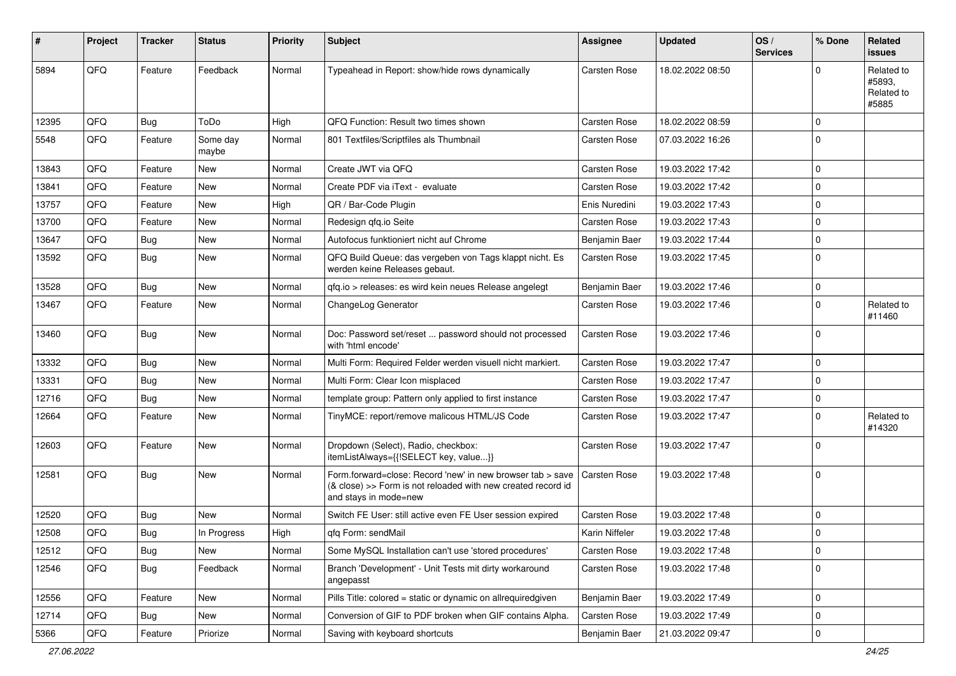| ∦     | Project | <b>Tracker</b> | <b>Status</b>     | <b>Priority</b> | <b>Subject</b>                                                                                                                                      | Assignee            | <b>Updated</b>   | OS/<br><b>Services</b> | % Done      | Related<br>issues                           |
|-------|---------|----------------|-------------------|-----------------|-----------------------------------------------------------------------------------------------------------------------------------------------------|---------------------|------------------|------------------------|-------------|---------------------------------------------|
| 5894  | QFQ     | Feature        | Feedback          | Normal          | Typeahead in Report: show/hide rows dynamically                                                                                                     | Carsten Rose        | 18.02.2022 08:50 |                        | $\Omega$    | Related to<br>#5893,<br>Related to<br>#5885 |
| 12395 | QFQ     | <b>Bug</b>     | ToDo              | High            | QFQ Function: Result two times shown                                                                                                                | <b>Carsten Rose</b> | 18.02.2022 08:59 |                        | $\mathbf 0$ |                                             |
| 5548  | QFQ     | Feature        | Some day<br>maybe | Normal          | 801 Textfiles/Scriptfiles als Thumbnail                                                                                                             | Carsten Rose        | 07.03.2022 16:26 |                        | 0           |                                             |
| 13843 | QFQ     | Feature        | New               | Normal          | Create JWT via QFQ                                                                                                                                  | <b>Carsten Rose</b> | 19.03.2022 17:42 |                        | $\mathbf 0$ |                                             |
| 13841 | QFQ     | Feature        | <b>New</b>        | Normal          | Create PDF via iText - evaluate                                                                                                                     | Carsten Rose        | 19.03.2022 17:42 |                        | $\mathbf 0$ |                                             |
| 13757 | QFQ     | Feature        | New               | High            | QR / Bar-Code Plugin                                                                                                                                | Enis Nuredini       | 19.03.2022 17:43 |                        | $\mathbf 0$ |                                             |
| 13700 | QFQ     | Feature        | New               | Normal          | Redesign qfq.io Seite                                                                                                                               | Carsten Rose        | 19.03.2022 17:43 |                        | $\mathbf 0$ |                                             |
| 13647 | QFQ     | Bug            | New               | Normal          | Autofocus funktioniert nicht auf Chrome                                                                                                             | Benjamin Baer       | 19.03.2022 17:44 |                        | $\mathbf 0$ |                                             |
| 13592 | QFQ     | Bug            | New               | Normal          | QFQ Build Queue: das vergeben von Tags klappt nicht. Es<br>werden keine Releases gebaut.                                                            | <b>Carsten Rose</b> | 19.03.2022 17:45 |                        | $\Omega$    |                                             |
| 13528 | QFQ     | <b>Bug</b>     | <b>New</b>        | Normal          | qfq.io > releases: es wird kein neues Release angelegt                                                                                              | Benjamin Baer       | 19.03.2022 17:46 |                        | $\mathbf 0$ |                                             |
| 13467 | QFQ     | Feature        | New               | Normal          | ChangeLog Generator                                                                                                                                 | <b>Carsten Rose</b> | 19.03.2022 17:46 |                        | 0           | Related to<br>#11460                        |
| 13460 | QFQ     | Bug            | New               | Normal          | Doc: Password set/reset  password should not processed<br>with 'html encode'                                                                        | <b>Carsten Rose</b> | 19.03.2022 17:46 |                        | $\Omega$    |                                             |
| 13332 | QFQ     | Bug            | New               | Normal          | Multi Form: Required Felder werden visuell nicht markiert.                                                                                          | Carsten Rose        | 19.03.2022 17:47 |                        | $\mathbf 0$ |                                             |
| 13331 | QFQ     | Bug            | <b>New</b>        | Normal          | Multi Form: Clear Icon misplaced                                                                                                                    | Carsten Rose        | 19.03.2022 17:47 |                        | $\mathbf 0$ |                                             |
| 12716 | QFQ     | Bug            | New               | Normal          | template group: Pattern only applied to first instance                                                                                              | Carsten Rose        | 19.03.2022 17:47 |                        | 0           |                                             |
| 12664 | QFQ     | Feature        | New               | Normal          | TinyMCE: report/remove malicous HTML/JS Code                                                                                                        | Carsten Rose        | 19.03.2022 17:47 |                        | $\mathbf 0$ | Related to<br>#14320                        |
| 12603 | QFQ     | Feature        | New               | Normal          | Dropdown (Select), Radio, checkbox:<br>itemListAlways={{!SELECT key, value}}                                                                        | Carsten Rose        | 19.03.2022 17:47 |                        | $\Omega$    |                                             |
| 12581 | QFQ     | Bug            | New               | Normal          | Form.forward=close: Record 'new' in new browser tab > save<br>(& close) >> Form is not reloaded with new created record id<br>and stays in mode=new | <b>Carsten Rose</b> | 19.03.2022 17:48 |                        | 0           |                                             |
| 12520 | QFQ     | Bug            | New               | Normal          | Switch FE User: still active even FE User session expired                                                                                           | <b>Carsten Rose</b> | 19.03.2022 17:48 |                        | $\mathbf 0$ |                                             |
| 12508 | QFQ     | <b>Bug</b>     | In Progress       | High            | qfq Form: sendMail                                                                                                                                  | Karin Niffeler      | 19.03.2022 17:48 |                        | $\mathbf 0$ |                                             |
| 12512 | QFQ     | <b>Bug</b>     | New               | Normal          | Some MySQL Installation can't use 'stored procedures'                                                                                               | Carsten Rose        | 19.03.2022 17:48 |                        | 0           |                                             |
| 12546 | QFQ     | <b>Bug</b>     | Feedback          | Normal          | Branch 'Development' - Unit Tests mit dirty workaround<br>angepasst                                                                                 | Carsten Rose        | 19.03.2022 17:48 |                        | 0           |                                             |
| 12556 | QFQ     | Feature        | New               | Normal          | Pills Title: colored = static or dynamic on allrequiredgiven                                                                                        | Benjamin Baer       | 19.03.2022 17:49 |                        | 0           |                                             |
| 12714 | QFQ     | <b>Bug</b>     | New               | Normal          | Conversion of GIF to PDF broken when GIF contains Alpha.                                                                                            | Carsten Rose        | 19.03.2022 17:49 |                        | 0           |                                             |
| 5366  | QFQ     | Feature        | Priorize          | Normal          | Saving with keyboard shortcuts                                                                                                                      | Benjamin Baer       | 21.03.2022 09:47 |                        | 0           |                                             |